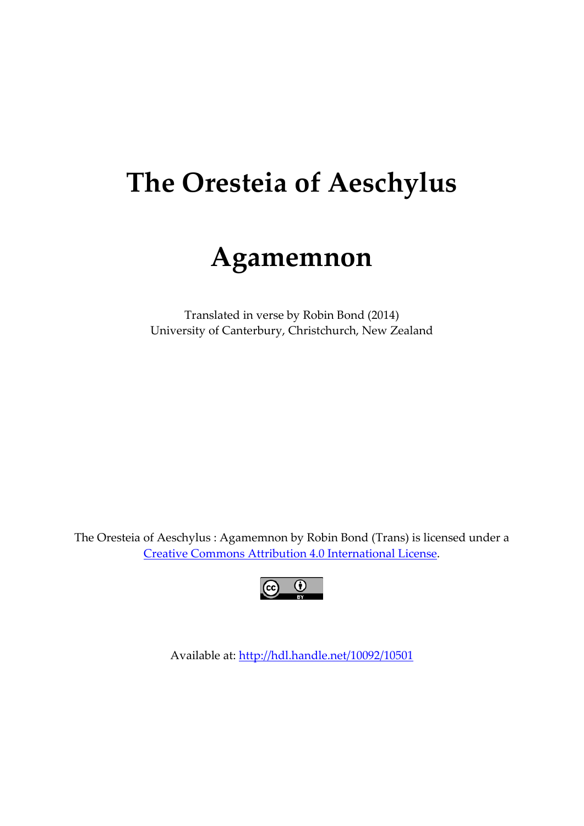# **The Oresteia of Aeschylus**

## **Agamemnon**

Translated in verse by Robin Bond (2014) University of Canterbury, Christchurch, New Zealand

The Oresteia of Aeschylus : Agamemnon by Robin Bond (Trans) is licensed under a [Creative Commons Attribution 4.0 International License.](http://creativecommons.org/licenses/by/4.0/)



Available at:<http://hdl.handle.net/10092/10501>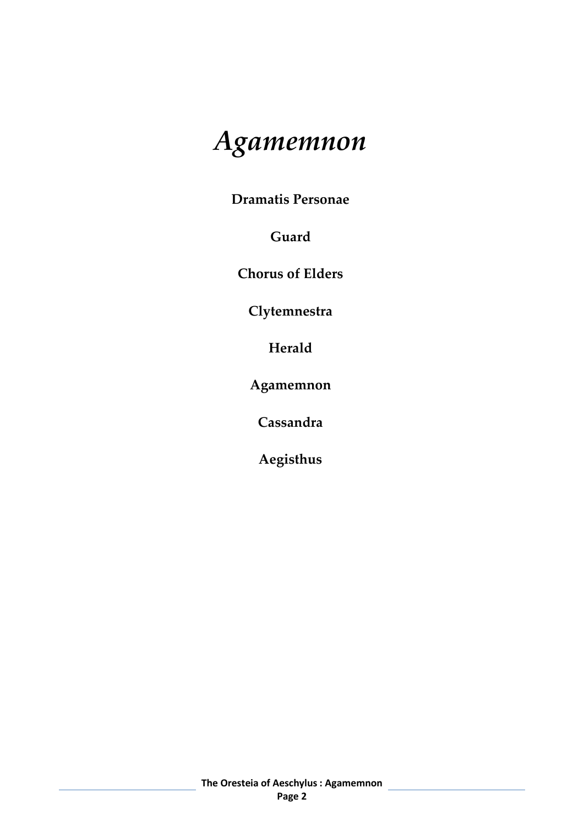# *Agamemnon*

**Dramatis Personae**

**Guard**

**Chorus of Elders**

**Clytemnestra**

**Herald**

**Agamemnon** 

**Cassandra**

**Aegisthus**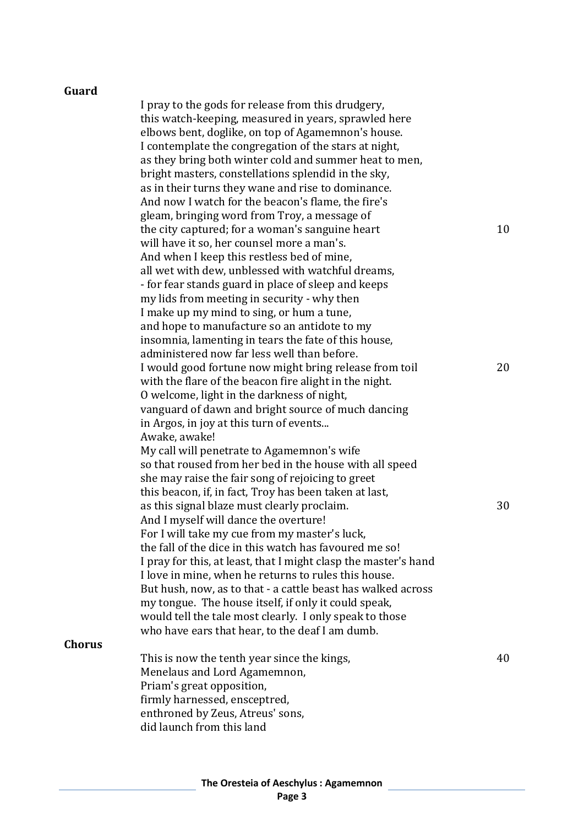#### **Guard**

**Chorus**

| I pray to the gods for release from this drudgery,<br>this watch-keeping, measured in years, sprawled here<br>elbows bent, doglike, on top of Agamemnon's house.<br>I contemplate the congregation of the stars at night,<br>as they bring both winter cold and summer heat to men,<br>bright masters, constellations splendid in the sky,<br>as in their turns they wane and rise to dominance.<br>And now I watch for the beacon's flame, the fire's |    |
|--------------------------------------------------------------------------------------------------------------------------------------------------------------------------------------------------------------------------------------------------------------------------------------------------------------------------------------------------------------------------------------------------------------------------------------------------------|----|
| gleam, bringing word from Troy, a message of<br>the city captured; for a woman's sanguine heart<br>will have it so, her counsel more a man's.                                                                                                                                                                                                                                                                                                          | 10 |
| And when I keep this restless bed of mine,<br>all wet with dew, unblessed with watchful dreams,<br>- for fear stands guard in place of sleep and keeps<br>my lids from meeting in security - why then<br>I make up my mind to sing, or hum a tune,                                                                                                                                                                                                     |    |
| and hope to manufacture so an antidote to my<br>insomnia, lamenting in tears the fate of this house,                                                                                                                                                                                                                                                                                                                                                   |    |
| administered now far less well than before.<br>I would good fortune now might bring release from toil<br>with the flare of the beacon fire alight in the night.<br>O welcome, light in the darkness of night,                                                                                                                                                                                                                                          | 20 |
| vanguard of dawn and bright source of much dancing<br>in Argos, in joy at this turn of events<br>Awake, awake!                                                                                                                                                                                                                                                                                                                                         |    |
| My call will penetrate to Agamemnon's wife<br>so that roused from her bed in the house with all speed<br>she may raise the fair song of rejoicing to greet                                                                                                                                                                                                                                                                                             |    |
| this beacon, if, in fact, Troy has been taken at last,<br>as this signal blaze must clearly proclaim.<br>And I myself will dance the overture!                                                                                                                                                                                                                                                                                                         | 30 |
| For I will take my cue from my master's luck,<br>the fall of the dice in this watch has favoured me so!<br>I pray for this, at least, that I might clasp the master's hand<br>I love in mine, when he returns to rules this house.                                                                                                                                                                                                                     |    |
| But hush, now, as to that - a cattle beast has walked across<br>my tongue. The house itself, if only it could speak,<br>would tell the tale most clearly. I only speak to those<br>who have ears that hear, to the deaf I am dumb.                                                                                                                                                                                                                     |    |
| This is now the tenth year since the kings,<br>Menelaus and Lord Agamemnon,                                                                                                                                                                                                                                                                                                                                                                            | 40 |
| Priam's great opposition,<br>firmly harnessed, ensceptred,                                                                                                                                                                                                                                                                                                                                                                                             |    |
| enthroned by Zeus, Atreus' sons,<br>did launch from this land                                                                                                                                                                                                                                                                                                                                                                                          |    |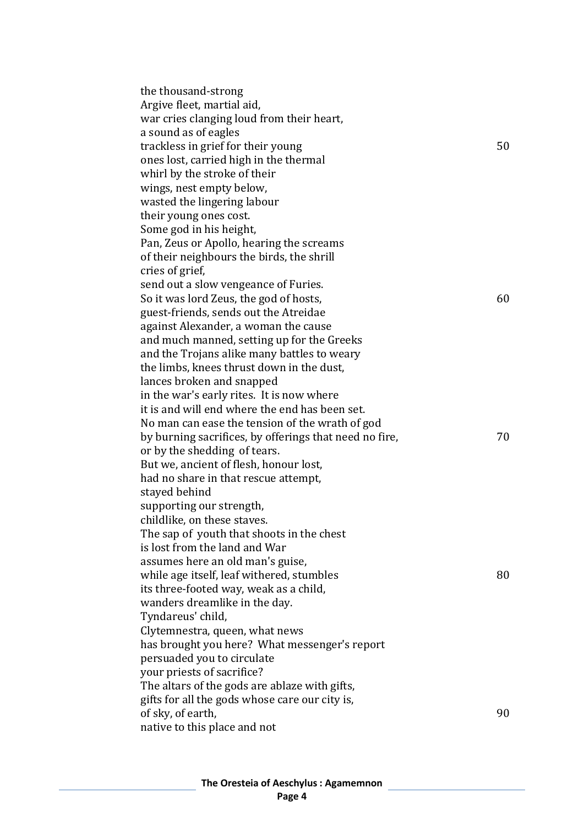| the thousand-strong                                                                 |    |
|-------------------------------------------------------------------------------------|----|
| Argive fleet, martial aid,                                                          |    |
| war cries clanging loud from their heart,                                           |    |
| a sound as of eagles                                                                |    |
| trackless in grief for their young                                                  | 50 |
| ones lost, carried high in the thermal                                              |    |
| whirl by the stroke of their                                                        |    |
| wings, nest empty below,                                                            |    |
| wasted the lingering labour                                                         |    |
| their young ones cost.                                                              |    |
| Some god in his height,                                                             |    |
| Pan, Zeus or Apollo, hearing the screams                                            |    |
| of their neighbours the birds, the shrill                                           |    |
| cries of grief,                                                                     |    |
| send out a slow vengeance of Furies.                                                |    |
| So it was lord Zeus, the god of hosts,                                              | 60 |
| guest-friends, sends out the Atreidae                                               |    |
| against Alexander, a woman the cause                                                |    |
| and much manned, setting up for the Greeks                                          |    |
| and the Trojans alike many battles to weary                                         |    |
| the limbs, knees thrust down in the dust,                                           |    |
| lances broken and snapped                                                           |    |
| in the war's early rites. It is now where                                           |    |
| it is and will end where the end has been set.                                      |    |
| No man can ease the tension of the wrath of god                                     |    |
| by burning sacrifices, by offerings that need no fire,                              | 70 |
| or by the shedding of tears.                                                        |    |
| But we, ancient of flesh, honour lost,                                              |    |
| had no share in that rescue attempt,                                                |    |
| stayed behind                                                                       |    |
| supporting our strength,                                                            |    |
| childlike, on these staves.                                                         |    |
| The sap of youth that shoots in the chest<br>is lost from the land and War          |    |
|                                                                                     |    |
| assumes here an old man's guise,                                                    | 80 |
| while age itself, leaf withered, stumbles<br>its three-footed way, weak as a child, |    |
| wanders dreamlike in the day.                                                       |    |
| Tyndareus' child,                                                                   |    |
| Clytemnestra, queen, what news                                                      |    |
| has brought you here? What messenger's report                                       |    |
| persuaded you to circulate                                                          |    |
| your priests of sacrifice?                                                          |    |
| The altars of the gods are ablaze with gifts,                                       |    |
| gifts for all the gods whose care our city is,                                      |    |
| of sky, of earth,                                                                   | 90 |
| native to this place and not                                                        |    |
|                                                                                     |    |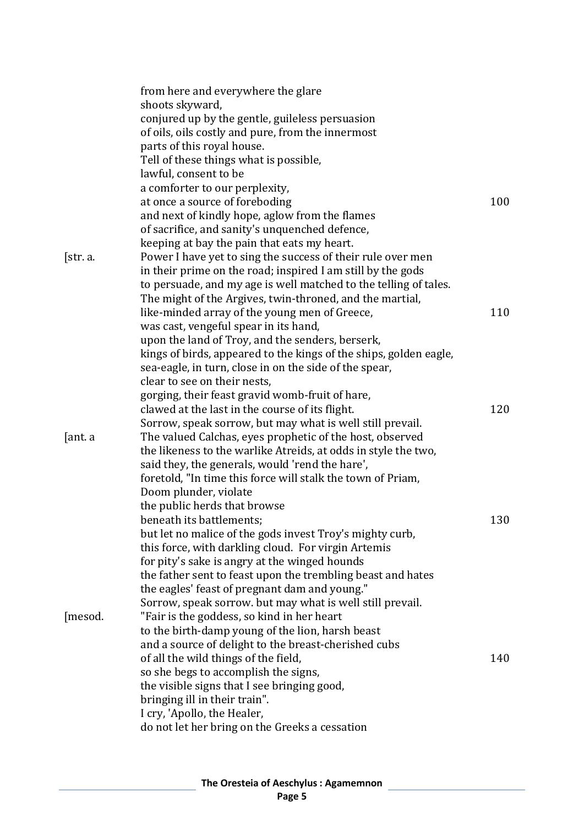|          | from here and everywhere the glare                                |     |
|----------|-------------------------------------------------------------------|-----|
|          | shoots skyward,                                                   |     |
|          | conjured up by the gentle, guileless persuasion                   |     |
|          | of oils, oils costly and pure, from the innermost                 |     |
|          | parts of this royal house.                                        |     |
|          | Tell of these things what is possible,                            |     |
|          | lawful, consent to be                                             |     |
|          | a comforter to our perplexity,                                    |     |
|          | at once a source of foreboding                                    | 100 |
|          | and next of kindly hope, aglow from the flames                    |     |
|          | of sacrifice, and sanity's unquenched defence,                    |     |
|          | keeping at bay the pain that eats my heart.                       |     |
| [str. a. | Power I have yet to sing the success of their rule over men       |     |
|          | in their prime on the road; inspired I am still by the gods       |     |
|          | to persuade, and my age is well matched to the telling of tales.  |     |
|          | The might of the Argives, twin-throned, and the martial,          |     |
|          | like-minded array of the young men of Greece,                     | 110 |
|          | was cast, vengeful spear in its hand,                             |     |
|          | upon the land of Troy, and the senders, berserk,                  |     |
|          | kings of birds, appeared to the kings of the ships, golden eagle, |     |
|          | sea-eagle, in turn, close in on the side of the spear,            |     |
|          | clear to see on their nests,                                      |     |
|          | gorging, their feast gravid womb-fruit of hare,                   |     |
|          | clawed at the last in the course of its flight.                   | 120 |
|          | Sorrow, speak sorrow, but may what is well still prevail.         |     |
| ant. a   | The valued Calchas, eyes prophetic of the host, observed          |     |
|          | the likeness to the warlike Atreids, at odds in style the two,    |     |
|          | said they, the generals, would 'rend the hare',                   |     |
|          | foretold, "In time this force will stalk the town of Priam,       |     |
|          | Doom plunder, violate                                             |     |
|          | the public herds that browse                                      |     |
|          | beneath its battlements;                                          | 130 |
|          | but let no malice of the gods invest Troy's mighty curb,          |     |
|          | this force, with darkling cloud. For virgin Artemis               |     |
|          | for pity's sake is angry at the winged hounds                     |     |
|          | the father sent to feast upon the trembling beast and hates       |     |
|          | the eagles' feast of pregnant dam and young."                     |     |
|          | Sorrow, speak sorrow. but may what is well still prevail.         |     |
| [mesod.  | "Fair is the goddess, so kind in her heart                        |     |
|          | to the birth-damp young of the lion, harsh beast                  |     |
|          | and a source of delight to the breast-cherished cubs              |     |
|          | of all the wild things of the field,                              | 140 |
|          | so she begs to accomplish the signs,                              |     |
|          | the visible signs that I see bringing good,                       |     |
|          | bringing ill in their train".                                     |     |
|          | I cry, 'Apollo, the Healer,                                       |     |
|          | do not let her bring on the Greeks a cessation                    |     |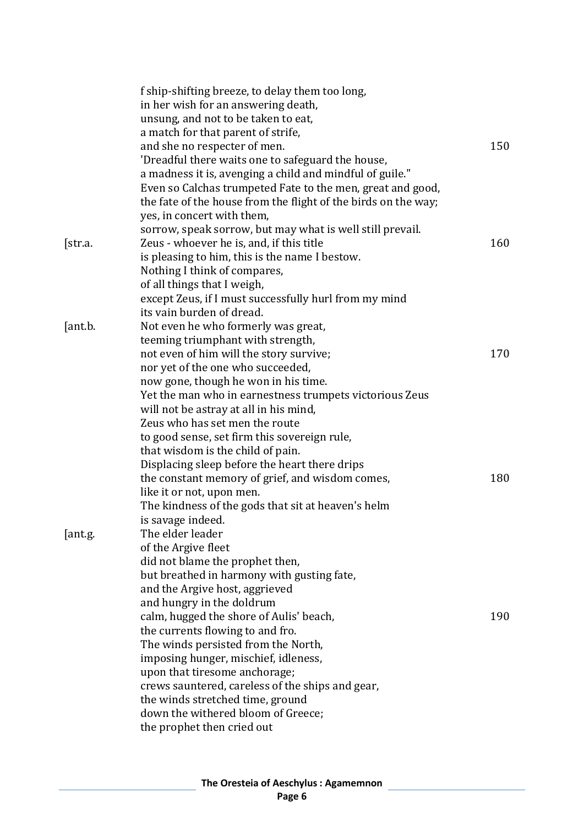|         | f ship-shifting breeze, to delay them too long,                |     |
|---------|----------------------------------------------------------------|-----|
|         | in her wish for an answering death,                            |     |
|         | unsung, and not to be taken to eat,                            |     |
|         | a match for that parent of strife,                             |     |
|         | and she no respecter of men.                                   | 150 |
|         | 'Dreadful there waits one to safeguard the house,              |     |
|         | a madness it is, avenging a child and mindful of guile."       |     |
|         | Even so Calchas trumpeted Fate to the men, great and good,     |     |
|         | the fate of the house from the flight of the birds on the way; |     |
|         | yes, in concert with them,                                     |     |
|         | sorrow, speak sorrow, but may what is well still prevail.      |     |
| [str.a. | Zeus - whoever he is, and, if this title                       | 160 |
|         | is pleasing to him, this is the name I bestow.                 |     |
|         | Nothing I think of compares,                                   |     |
|         | of all things that I weigh,                                    |     |
|         | except Zeus, if I must successfully hurl from my mind          |     |
|         | its vain burden of dread.                                      |     |
| [ant.b. | Not even he who formerly was great,                            |     |
|         | teeming triumphant with strength,                              |     |
|         | not even of him will the story survive;                        | 170 |
|         | nor yet of the one who succeeded,                              |     |
|         | now gone, though he won in his time.                           |     |
|         | Yet the man who in earnestness trumpets victorious Zeus        |     |
|         | will not be astray at all in his mind,                         |     |
|         | Zeus who has set men the route                                 |     |
|         | to good sense, set firm this sovereign rule,                   |     |
|         | that wisdom is the child of pain.                              |     |
|         | Displacing sleep before the heart there drips                  |     |
|         | the constant memory of grief, and wisdom comes,                | 180 |
|         | like it or not, upon men.                                      |     |
|         | The kindness of the gods that sit at heaven's helm             |     |
|         | is savage indeed.                                              |     |
| [ant.g. | The elder leader                                               |     |
|         | of the Argive fleet                                            |     |
|         | did not blame the prophet then,                                |     |
|         | but breathed in harmony with gusting fate,                     |     |
|         | and the Argive host, aggrieved                                 |     |
|         | and hungry in the doldrum                                      |     |
|         | calm, hugged the shore of Aulis' beach,                        | 190 |
|         | the currents flowing to and fro.                               |     |
|         | The winds persisted from the North,                            |     |
|         | imposing hunger, mischief, idleness,                           |     |
|         | upon that tiresome anchorage;                                  |     |
|         | crews sauntered, careless of the ships and gear,               |     |
|         | the winds stretched time, ground                               |     |
|         | down the withered bloom of Greece;                             |     |
|         | the prophet then cried out                                     |     |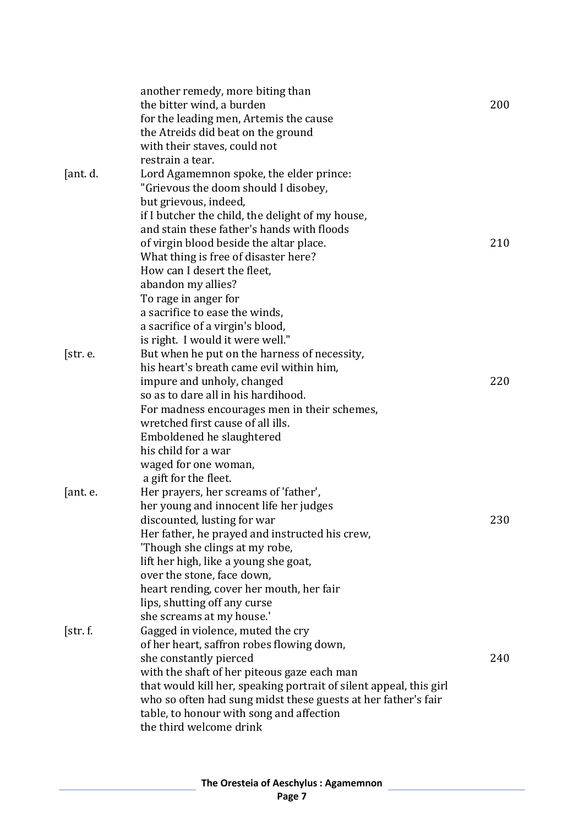|          | another remedy, more biting than                                   |     |
|----------|--------------------------------------------------------------------|-----|
|          | the bitter wind, a burden                                          | 200 |
|          | for the leading men, Artemis the cause                             |     |
|          | the Atreids did beat on the ground                                 |     |
|          | with their staves, could not                                       |     |
|          | restrain a tear.                                                   |     |
| [ant. d. | Lord Agamemnon spoke, the elder prince:                            |     |
|          |                                                                    |     |
|          | "Grievous the doom should I disobey,                               |     |
|          | but grievous, indeed,                                              |     |
|          | if I butcher the child, the delight of my house,                   |     |
|          | and stain these father's hands with floods                         |     |
|          | of virgin blood beside the altar place.                            | 210 |
|          | What thing is free of disaster here?                               |     |
|          | How can I desert the fleet,                                        |     |
|          | abandon my allies?                                                 |     |
|          | To rage in anger for                                               |     |
|          | a sacrifice to ease the winds,                                     |     |
|          | a sacrifice of a virgin's blood,                                   |     |
|          | is right. I would it were well."                                   |     |
| [str. e. | But when he put on the harness of necessity,                       |     |
|          | his heart's breath came evil within him,                           |     |
|          | impure and unholy, changed                                         | 220 |
|          | so as to dare all in his hardihood.                                |     |
|          | For madness encourages men in their schemes,                       |     |
|          | wretched first cause of all ills.                                  |     |
|          | Emboldened he slaughtered                                          |     |
|          | his child for a war                                                |     |
|          |                                                                    |     |
|          | waged for one woman,                                               |     |
|          | a gift for the fleet.                                              |     |
| ant. e.  | Her prayers, her screams of 'father',                              |     |
|          | her young and innocent life her judges                             |     |
|          | discounted, lusting for war                                        | 230 |
|          | Her father, he prayed and instructed his crew,                     |     |
|          | 'Though she clings at my robe,                                     |     |
|          | lift her high, like a young she goat,                              |     |
|          | over the stone, face down,                                         |     |
|          | heart rending, cover her mouth, her fair                           |     |
|          | lips, shutting off any curse                                       |     |
|          | she screams at my house.'                                          |     |
| [str.f.  | Gagged in violence, muted the cry                                  |     |
|          | of her heart, saffron robes flowing down,                          |     |
|          | she constantly pierced                                             | 240 |
|          | with the shaft of her piteous gaze each man                        |     |
|          | that would kill her, speaking portrait of silent appeal, this girl |     |
|          | who so often had sung midst these guests at her father's fair      |     |
|          | table, to honour with song and affection                           |     |
|          | the third welcome drink                                            |     |
|          |                                                                    |     |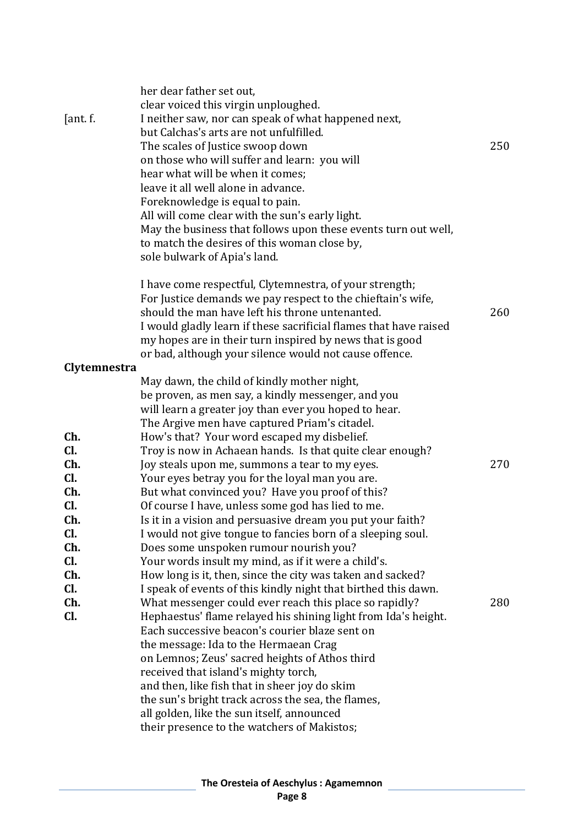| [ant. f.]    | her dear father set out,<br>clear voiced this virgin unploughed.<br>I neither saw, nor can speak of what happened next,<br>but Calchas's arts are not unfulfilled.<br>The scales of Justice swoop down<br>on those who will suffer and learn: you will<br>hear what will be when it comes;<br>leave it all well alone in advance.<br>Foreknowledge is equal to pain.<br>All will come clear with the sun's early light.<br>May the business that follows upon these events turn out well,<br>to match the desires of this woman close by,<br>sole bulwark of Apia's land. | 250 |
|--------------|---------------------------------------------------------------------------------------------------------------------------------------------------------------------------------------------------------------------------------------------------------------------------------------------------------------------------------------------------------------------------------------------------------------------------------------------------------------------------------------------------------------------------------------------------------------------------|-----|
|              | I have come respectful, Clytemnestra, of your strength;<br>For Justice demands we pay respect to the chieftain's wife,<br>should the man have left his throne untenanted.<br>I would gladly learn if these sacrificial flames that have raised<br>my hopes are in their turn inspired by news that is good<br>or bad, although your silence would not cause offence.                                                                                                                                                                                                      | 260 |
| Clytemnestra | May dawn, the child of kindly mother night,                                                                                                                                                                                                                                                                                                                                                                                                                                                                                                                               |     |
|              | be proven, as men say, a kindly messenger, and you<br>will learn a greater joy than ever you hoped to hear.<br>The Argive men have captured Priam's citadel.                                                                                                                                                                                                                                                                                                                                                                                                              |     |
| Ch.          | How's that? Your word escaped my disbelief.                                                                                                                                                                                                                                                                                                                                                                                                                                                                                                                               |     |
| Cl.          | Troy is now in Achaean hands. Is that quite clear enough?                                                                                                                                                                                                                                                                                                                                                                                                                                                                                                                 |     |
| Ch.<br>Cl.   | Joy steals upon me, summons a tear to my eyes.                                                                                                                                                                                                                                                                                                                                                                                                                                                                                                                            | 270 |
| Ch.          | Your eyes betray you for the loyal man you are.<br>But what convinced you? Have you proof of this?                                                                                                                                                                                                                                                                                                                                                                                                                                                                        |     |
| CI.          | Of course I have, unless some god has lied to me.                                                                                                                                                                                                                                                                                                                                                                                                                                                                                                                         |     |
| Ch.          | Is it in a vision and persuasive dream you put your faith?                                                                                                                                                                                                                                                                                                                                                                                                                                                                                                                |     |
| CI.          | I would not give tongue to fancies born of a sleeping soul.                                                                                                                                                                                                                                                                                                                                                                                                                                                                                                               |     |
| Ch.          | Does some unspoken rumour nourish you?                                                                                                                                                                                                                                                                                                                                                                                                                                                                                                                                    |     |
| Cl.          | Your words insult my mind, as if it were a child's.                                                                                                                                                                                                                                                                                                                                                                                                                                                                                                                       |     |
| Ch.          | How long is it, then, since the city was taken and sacked?                                                                                                                                                                                                                                                                                                                                                                                                                                                                                                                |     |
| CI.          | I speak of events of this kindly night that birthed this dawn.                                                                                                                                                                                                                                                                                                                                                                                                                                                                                                            |     |
| Ch.          | What messenger could ever reach this place so rapidly?                                                                                                                                                                                                                                                                                                                                                                                                                                                                                                                    | 280 |
| Cl.          | Hephaestus' flame relayed his shining light from Ida's height.<br>Each successive beacon's courier blaze sent on                                                                                                                                                                                                                                                                                                                                                                                                                                                          |     |
|              | the message: Ida to the Hermaean Crag                                                                                                                                                                                                                                                                                                                                                                                                                                                                                                                                     |     |
|              | on Lemnos; Zeus' sacred heights of Athos third                                                                                                                                                                                                                                                                                                                                                                                                                                                                                                                            |     |
|              | received that island's mighty torch,                                                                                                                                                                                                                                                                                                                                                                                                                                                                                                                                      |     |
|              | and then, like fish that in sheer joy do skim                                                                                                                                                                                                                                                                                                                                                                                                                                                                                                                             |     |
|              | the sun's bright track across the sea, the flames,                                                                                                                                                                                                                                                                                                                                                                                                                                                                                                                        |     |
|              | all golden, like the sun itself, announced                                                                                                                                                                                                                                                                                                                                                                                                                                                                                                                                |     |
|              | their presence to the watchers of Makistos;                                                                                                                                                                                                                                                                                                                                                                                                                                                                                                                               |     |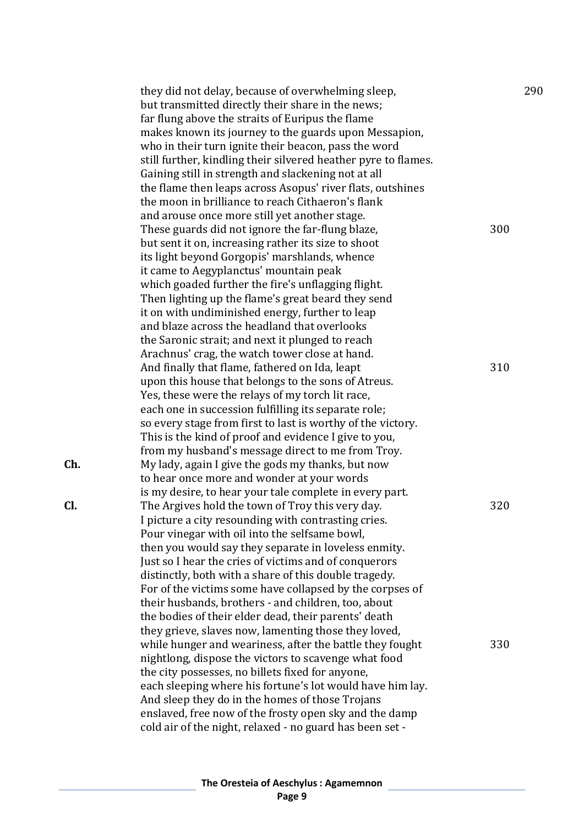they did not delay, because of overwhelming sleep, 290 but transmitted directly their share in the news; far flung above the straits of Euripus the flame makes known its journey to the guards upon Messapion, who in their turn ignite their beacon, pass the word still further, kindling their silvered heather pyre to flames. Gaining still in strength and slackening not at all the flame then leaps across Asopus' river flats, outshines the moon in brilliance to reach Cithaeron's flank and arouse once more still yet another stage. These guards did not ignore the far -flung blaze, 300 but sent it on, increasing rather its size to shoot its light beyond Gorgopis' marshlands, whence it came to Aegyplanctus' mountain peak which goaded further the fire's unflagging flight. Then lighting up the flame's great beard they send it on with undiminished energy, further to leap and blaze across the headland that overlooks the Saronic strait; and next it plunged to reach Arachnus' crag, the watch tower close at hand. And finally that flame, fathered on Ida, leapt 310 upon this house that belongs to the sons of Atreus. Yes, these were the relays of my torch lit race, each one in succession fulfilling its separate role; so every stage from first to last is worthy of the victory. This is the kind of proof and evidence I give to you, from my husband's message direct to me from Troy. **Ch.** My lady, again I give the gods my thanks, but now to hear once more and wonder at your words is my desire, to hear your tale complete in every part. **Cl.** The Argives hold the town of Troy this very day. 320 I picture a city resounding with contrasting cries. Pour vinegar with oil into the selfsame bowl, then you would say they separate in loveless enmity. Just so I hear the cries of victims and of conquerors distinctly, both with a share of this double tragedy. For of the victims some have collapsed by the corpses of their husbands, brothers - and children, too, about the bodies of their elder dead, their parents' death they grieve, slaves now, lamenting those they loved, while hunger and weariness, after the battle they fought 330 nightlong, dispose the victors to scavenge what food the city possesses, no billets fixed for anyone, each sleeping where his fortune's lot would have him lay. And sleep they do in the homes of those Trojans enslaved, free now of the frosty open sky and the damp cold air of the night, relaxed - no guard has been set -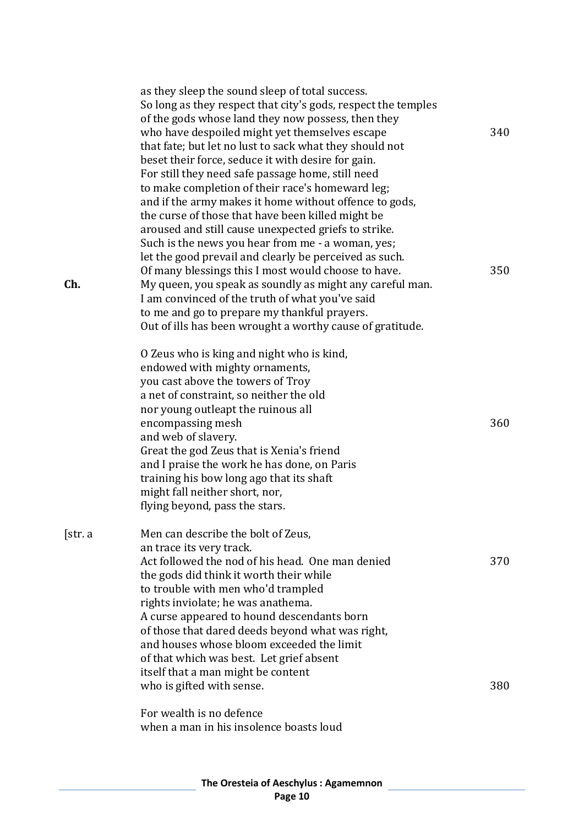|          | as they sleep the sound sleep of total success.<br>So long as they respect that city's gods, respect the temples<br>of the gods whose land they now possess, then they<br>who have despoiled might yet themselves escape<br>that fate; but let no lust to sack what they should not<br>beset their force, seduce it with desire for gain.<br>For still they need safe passage home, still need<br>to make completion of their race's homeward leg;                                                                                                                    | 340 |
|----------|-----------------------------------------------------------------------------------------------------------------------------------------------------------------------------------------------------------------------------------------------------------------------------------------------------------------------------------------------------------------------------------------------------------------------------------------------------------------------------------------------------------------------------------------------------------------------|-----|
| Ch.      | and if the army makes it home without offence to gods,<br>the curse of those that have been killed might be<br>aroused and still cause unexpected griefs to strike.<br>Such is the news you hear from me - a woman, yes;<br>let the good prevail and clearly be perceived as such.<br>Of many blessings this I most would choose to have.<br>My queen, you speak as soundly as might any careful man.<br>I am convinced of the truth of what you've said<br>to me and go to prepare my thankful prayers.<br>Out of ills has been wrought a worthy cause of gratitude. | 350 |
|          | O Zeus who is king and night who is kind,<br>endowed with mighty ornaments,<br>you cast above the towers of Troy<br>a net of constraint, so neither the old<br>nor young outleapt the ruinous all<br>encompassing mesh<br>and web of slavery.<br>Great the god Zeus that is Xenia's friend<br>and I praise the work he has done, on Paris<br>training his bow long ago that its shaft<br>might fall neither short, nor,<br>flying beyond, pass the stars.                                                                                                             | 360 |
| [str. a] | Men can describe the bolt of Zeus,<br>an trace its very track.<br>Act followed the nod of his head. One man denied<br>the gods did think it worth their while<br>to trouble with men who'd trampled<br>rights inviolate; he was anathema.<br>A curse appeared to hound descendants born<br>of those that dared deeds beyond what was right,<br>and houses whose bloom exceeded the limit<br>of that which was best. Let grief absent<br>itself that a man might be content                                                                                            | 370 |
|          | who is gifted with sense.<br>For wealth is no defence<br>when a man in his insolence boasts loud                                                                                                                                                                                                                                                                                                                                                                                                                                                                      | 380 |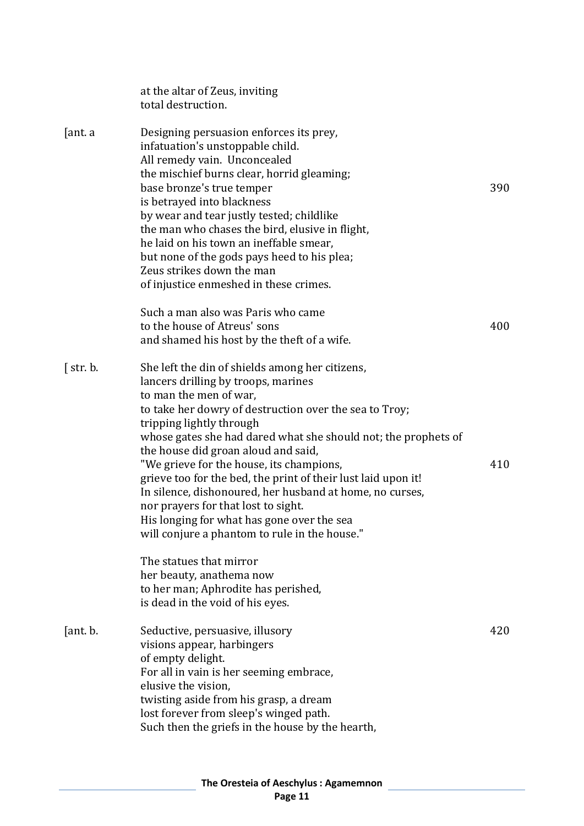|                | at the altar of Zeus, inviting<br>total destruction.                                                                                                                                                                                                                                                                                                                                                                                                                                                                                                                                                                           |     |
|----------------|--------------------------------------------------------------------------------------------------------------------------------------------------------------------------------------------------------------------------------------------------------------------------------------------------------------------------------------------------------------------------------------------------------------------------------------------------------------------------------------------------------------------------------------------------------------------------------------------------------------------------------|-----|
| [ant. a]       | Designing persuasion enforces its prey,<br>infatuation's unstoppable child.<br>All remedy vain. Unconcealed<br>the mischief burns clear, horrid gleaming;<br>base bronze's true temper<br>is betrayed into blackness<br>by wear and tear justly tested; childlike<br>the man who chases the bird, elusive in flight,<br>he laid on his town an ineffable smear,<br>but none of the gods pays heed to his plea;<br>Zeus strikes down the man<br>of injustice enmeshed in these crimes.                                                                                                                                          | 390 |
|                | Such a man also was Paris who came<br>to the house of Atreus' sons<br>and shamed his host by the theft of a wife.                                                                                                                                                                                                                                                                                                                                                                                                                                                                                                              | 400 |
| $\int$ str. b. | She left the din of shields among her citizens,<br>lancers drilling by troops, marines<br>to man the men of war,<br>to take her dowry of destruction over the sea to Troy;<br>tripping lightly through<br>whose gates she had dared what she should not; the prophets of<br>the house did groan aloud and said,<br>"We grieve for the house, its champions,<br>grieve too for the bed, the print of their lust laid upon it!<br>In silence, dishonoured, her husband at home, no curses,<br>nor prayers for that lost to sight.<br>His longing for what has gone over the sea<br>will conjure a phantom to rule in the house." | 410 |
|                | The statues that mirror<br>her beauty, anathema now<br>to her man; Aphrodite has perished,<br>is dead in the void of his eyes.                                                                                                                                                                                                                                                                                                                                                                                                                                                                                                 |     |
| [ant. b.       | Seductive, persuasive, illusory<br>visions appear, harbingers<br>of empty delight.<br>For all in vain is her seeming embrace,<br>elusive the vision,<br>twisting aside from his grasp, a dream<br>lost forever from sleep's winged path.<br>Such then the griefs in the house by the hearth,                                                                                                                                                                                                                                                                                                                                   | 420 |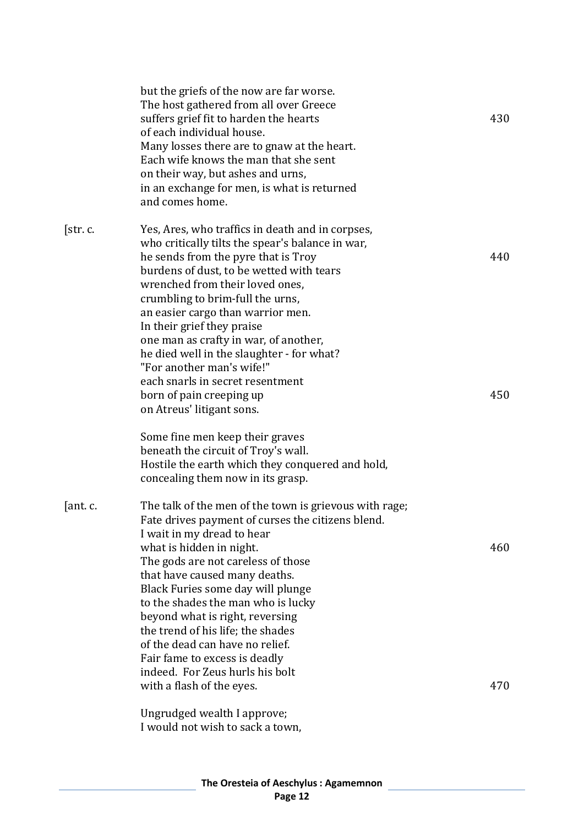|          | but the griefs of the now are far worse.<br>The host gathered from all over Greece<br>suffers grief fit to harden the hearts<br>of each individual house.<br>Many losses there are to gnaw at the heart.<br>Each wife knows the man that she sent<br>on their way, but ashes and urns,<br>in an exchange for men, is what is returned<br>and comes home.                                                                                                                                                                            | 430        |
|----------|-------------------------------------------------------------------------------------------------------------------------------------------------------------------------------------------------------------------------------------------------------------------------------------------------------------------------------------------------------------------------------------------------------------------------------------------------------------------------------------------------------------------------------------|------------|
| [str.c.  | Yes, Ares, who traffics in death and in corpses,<br>who critically tilts the spear's balance in war,<br>he sends from the pyre that is Troy<br>burdens of dust, to be wetted with tears<br>wrenched from their loved ones,<br>crumbling to brim-full the urns,<br>an easier cargo than warrior men.<br>In their grief they praise<br>one man as crafty in war, of another,<br>he died well in the slaughter - for what?<br>"For another man's wife!"                                                                                | 440        |
|          | each snarls in secret resentment<br>born of pain creeping up<br>on Atreus' litigant sons.<br>Some fine men keep their graves<br>beneath the circuit of Troy's wall.<br>Hostile the earth which they conquered and hold,<br>concealing them now in its grasp.                                                                                                                                                                                                                                                                        | 450        |
| [ant. c. | The talk of the men of the town is grievous with rage;<br>Fate drives payment of curses the citizens blend.<br>I wait in my dread to hear<br>what is hidden in night.<br>The gods are not careless of those<br>that have caused many deaths.<br>Black Furies some day will plunge<br>to the shades the man who is lucky<br>beyond what is right, reversing<br>the trend of his life; the shades<br>of the dead can have no relief.<br>Fair fame to excess is deadly<br>indeed. For Zeus hurls his bolt<br>with a flash of the eyes. | 460<br>470 |
|          | Ungrudged wealth I approve;<br>I would not wish to sack a town,                                                                                                                                                                                                                                                                                                                                                                                                                                                                     |            |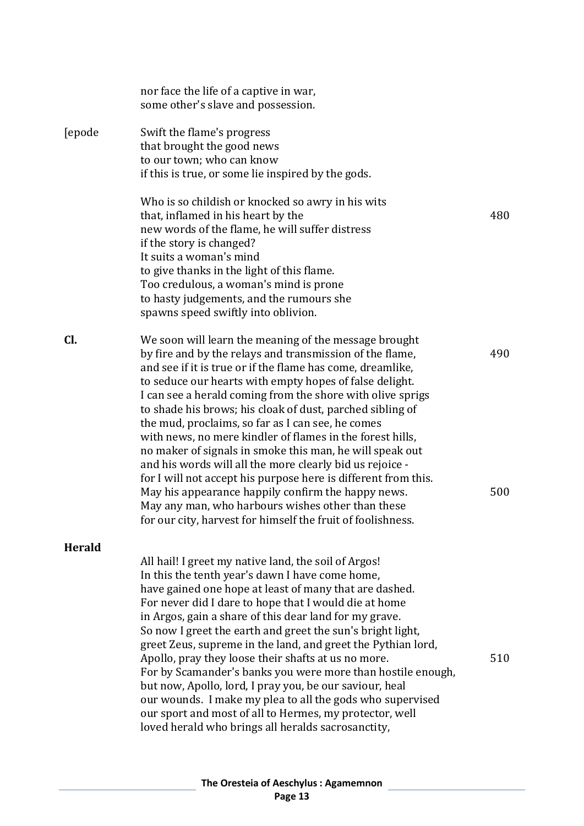|               | nor face the life of a captive in war,<br>some other's slave and possession.                                                                                                                                                                                                                                                                                                                                                                                                                                                                                                                                                                                                                                              |     |
|---------------|---------------------------------------------------------------------------------------------------------------------------------------------------------------------------------------------------------------------------------------------------------------------------------------------------------------------------------------------------------------------------------------------------------------------------------------------------------------------------------------------------------------------------------------------------------------------------------------------------------------------------------------------------------------------------------------------------------------------------|-----|
| [epode        | Swift the flame's progress<br>that brought the good news<br>to our town; who can know<br>if this is true, or some lie inspired by the gods.                                                                                                                                                                                                                                                                                                                                                                                                                                                                                                                                                                               |     |
|               | Who is so childish or knocked so awry in his wits<br>that, inflamed in his heart by the<br>new words of the flame, he will suffer distress<br>if the story is changed?<br>It suits a woman's mind<br>to give thanks in the light of this flame.<br>Too credulous, a woman's mind is prone<br>to hasty judgements, and the rumours she<br>spawns speed swiftly into oblivion.                                                                                                                                                                                                                                                                                                                                              | 480 |
| Cl.           | We soon will learn the meaning of the message brought<br>by fire and by the relays and transmission of the flame,<br>and see if it is true or if the flame has come, dreamlike,<br>to seduce our hearts with empty hopes of false delight.<br>I can see a herald coming from the shore with olive sprigs<br>to shade his brows; his cloak of dust, parched sibling of<br>the mud, proclaims, so far as I can see, he comes<br>with news, no mere kindler of flames in the forest hills,                                                                                                                                                                                                                                   | 490 |
|               | no maker of signals in smoke this man, he will speak out<br>and his words will all the more clearly bid us rejoice -<br>for I will not accept his purpose here is different from this.<br>May his appearance happily confirm the happy news.<br>May any man, who harbours wishes other than these<br>for our city, harvest for himself the fruit of foolishness.                                                                                                                                                                                                                                                                                                                                                          | 500 |
| <b>Herald</b> | All hail! I greet my native land, the soil of Argos!                                                                                                                                                                                                                                                                                                                                                                                                                                                                                                                                                                                                                                                                      |     |
|               | In this the tenth year's dawn I have come home,<br>have gained one hope at least of many that are dashed.<br>For never did I dare to hope that I would die at home<br>in Argos, gain a share of this dear land for my grave.<br>So now I greet the earth and greet the sun's bright light,<br>greet Zeus, supreme in the land, and greet the Pythian lord,<br>Apollo, pray they loose their shafts at us no more.<br>For by Scamander's banks you were more than hostile enough,<br>but now, Apollo, lord, I pray you, be our saviour, heal<br>our wounds. I make my plea to all the gods who supervised<br>our sport and most of all to Hermes, my protector, well<br>loved herald who brings all heralds sacrosanctity, | 510 |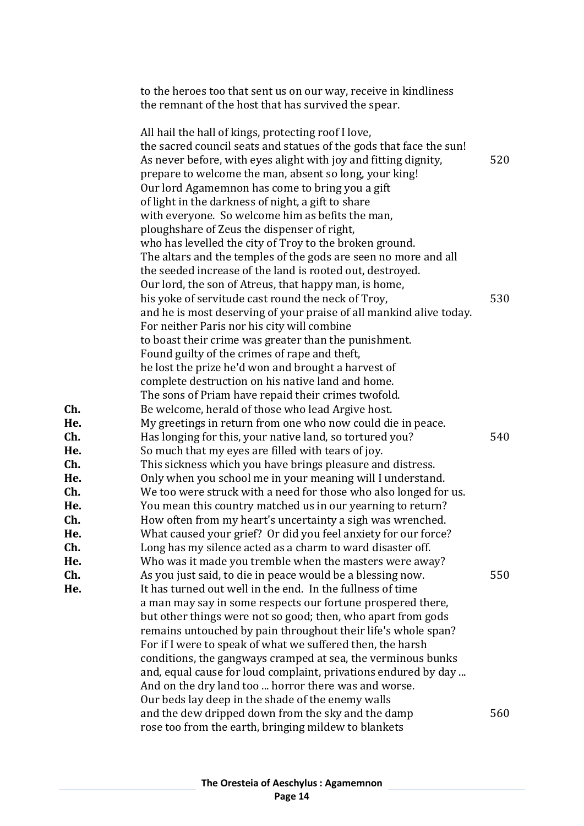|                          | to the heroes too that sent us on our way, receive in kindliness<br>the remnant of the host that has survived the spear.                                                                                                                                                                                                                                                                                                                                                                                                                                                         |     |
|--------------------------|----------------------------------------------------------------------------------------------------------------------------------------------------------------------------------------------------------------------------------------------------------------------------------------------------------------------------------------------------------------------------------------------------------------------------------------------------------------------------------------------------------------------------------------------------------------------------------|-----|
|                          | All hail the hall of kings, protecting roof I love,<br>the sacred council seats and statues of the gods that face the sun!<br>As never before, with eyes alight with joy and fitting dignity,<br>prepare to welcome the man, absent so long, your king!<br>Our lord Agamemnon has come to bring you a gift<br>of light in the darkness of night, a gift to share<br>with everyone. So welcome him as befits the man,                                                                                                                                                             | 520 |
|                          | ploughshare of Zeus the dispenser of right,<br>who has levelled the city of Troy to the broken ground.<br>The altars and the temples of the gods are seen no more and all<br>the seeded increase of the land is rooted out, destroyed.<br>Our lord, the son of Atreus, that happy man, is home,<br>his yoke of servitude cast round the neck of Troy,<br>and he is most deserving of your praise of all mankind alive today.<br>For neither Paris nor his city will combine<br>to boast their crime was greater than the punishment.                                             | 530 |
| Ch.                      | Found guilty of the crimes of rape and theft,<br>he lost the prize he'd won and brought a harvest of<br>complete destruction on his native land and home.<br>The sons of Priam have repaid their crimes twofold.<br>Be welcome, herald of those who lead Argive host.                                                                                                                                                                                                                                                                                                            |     |
| He.<br>Ch.<br>He.<br>Ch. | My greetings in return from one who now could die in peace.<br>Has longing for this, your native land, so tortured you?<br>So much that my eyes are filled with tears of joy.<br>This sickness which you have brings pleasure and distress.                                                                                                                                                                                                                                                                                                                                      | 540 |
| He.<br>Ch.<br>He.<br>Ch. | Only when you school me in your meaning will I understand.<br>We too were struck with a need for those who also longed for us.<br>You mean this country matched us in our yearning to return?<br>How often from my heart's uncertainty a sigh was wrenched                                                                                                                                                                                                                                                                                                                       |     |
| He.<br>Ch.<br>He.        | What caused your grief? Or did you feel anxiety for our force?<br>Long has my silence acted as a charm to ward disaster off.<br>Who was it made you tremble when the masters were away?                                                                                                                                                                                                                                                                                                                                                                                          |     |
| Ch.<br>He.               | As you just said, to die in peace would be a blessing now.<br>It has turned out well in the end. In the fullness of time<br>a man may say in some respects our fortune prospered there,<br>but other things were not so good; then, who apart from gods<br>remains untouched by pain throughout their life's whole span?<br>For if I were to speak of what we suffered then, the harsh<br>conditions, the gangways cramped at sea, the verminous bunks<br>and, equal cause for loud complaint, privations endured by day<br>And on the dry land too  horror there was and worse. | 550 |
|                          | Our beds lay deep in the shade of the enemy walls<br>and the dew dripped down from the sky and the damp<br>rose too from the earth, bringing mildew to blankets                                                                                                                                                                                                                                                                                                                                                                                                                  | 560 |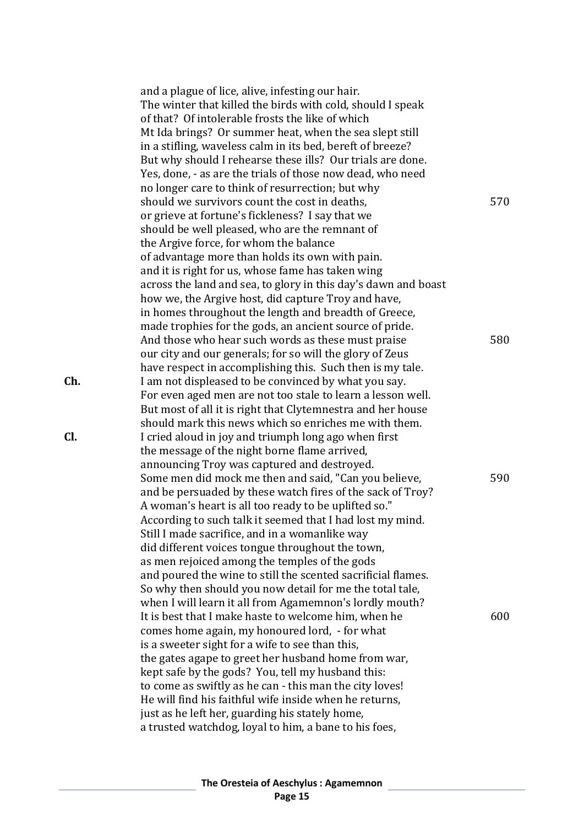|     | and a plague of lice, alive, infesting our hair.<br>The winter that killed the birds with cold, should I speak<br>of that? Of intolerable frosts the like of which<br>Mt Ida brings? Or summer heat, when the sea slept still<br>in a stifling, waveless calm in its bed, bereft of breeze?<br>But why should I rehearse these ills? Our trials are done.<br>Yes, done, - as are the trials of those now dead, who need<br>no longer care to think of resurrection; but why                                                                                                            |     |
|-----|----------------------------------------------------------------------------------------------------------------------------------------------------------------------------------------------------------------------------------------------------------------------------------------------------------------------------------------------------------------------------------------------------------------------------------------------------------------------------------------------------------------------------------------------------------------------------------------|-----|
|     | should we survivors count the cost in deaths,<br>or grieve at fortune's fickleness? I say that we<br>should be well pleased, who are the remnant of<br>the Argive force, for whom the balance<br>of advantage more than holds its own with pain.<br>and it is right for us, whose fame has taken wing                                                                                                                                                                                                                                                                                  | 570 |
|     | across the land and sea, to glory in this day's dawn and boast<br>how we, the Argive host, did capture Troy and have,<br>in homes throughout the length and breadth of Greece,                                                                                                                                                                                                                                                                                                                                                                                                         |     |
|     | made trophies for the gods, an ancient source of pride.<br>And those who hear such words as these must praise<br>our city and our generals; for so will the glory of Zeus<br>have respect in accomplishing this. Such then is my tale.                                                                                                                                                                                                                                                                                                                                                 | 580 |
| Ch. | I am not displeased to be convinced by what you say.<br>For even aged men are not too stale to learn a lesson well.<br>But most of all it is right that Clytemnestra and her house<br>should mark this news which so enriches me with them.                                                                                                                                                                                                                                                                                                                                            |     |
| CI. | I cried aloud in joy and triumph long ago when first<br>the message of the night borne flame arrived,<br>announcing Troy was captured and destroyed.                                                                                                                                                                                                                                                                                                                                                                                                                                   |     |
|     | Some men did mock me then and said, "Can you believe,<br>and be persuaded by these watch fires of the sack of Troy?<br>A woman's heart is all too ready to be uplifted so."<br>According to such talk it seemed that I had lost my mind.<br>Still I made sacrifice, and in a womanlike way<br>did different voices tongue throughout the town,<br>as men rejoiced among the temples of the gods<br>and poured the wine to still the scented sacrificial flames.<br>So why then should you now detail for me the total tale,<br>when I will learn it all from Agamemnon's lordly mouth? | 590 |
|     | It is best that I make haste to welcome him, when he<br>comes home again, my honoured lord, - for what<br>is a sweeter sight for a wife to see than this,<br>the gates agape to greet her husband home from war,<br>kept safe by the gods? You, tell my husband this:<br>to come as swiftly as he can - this man the city loves!<br>He will find his faithful wife inside when he returns,<br>just as he left her, guarding his stately home,<br>a trusted watchdog, loyal to him, a bane to his foes,                                                                                 | 600 |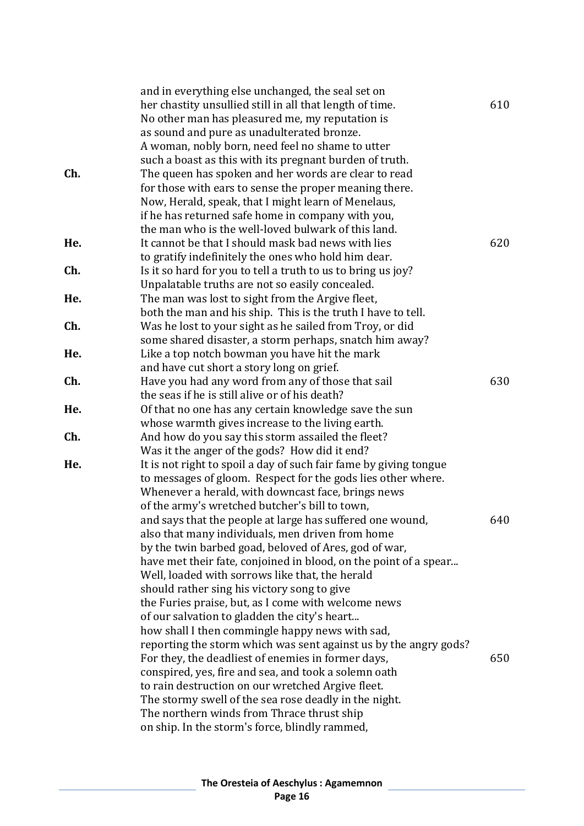|     | and in everything else unchanged, the seal set on                 |     |
|-----|-------------------------------------------------------------------|-----|
|     | her chastity unsullied still in all that length of time.          | 610 |
|     | No other man has pleasured me, my reputation is                   |     |
|     | as sound and pure as unadulterated bronze.                        |     |
|     | A woman, nobly born, need feel no shame to utter                  |     |
|     | such a boast as this with its pregnant burden of truth.           |     |
| Ch. | The queen has spoken and her words are clear to read              |     |
|     | for those with ears to sense the proper meaning there.            |     |
|     | Now, Herald, speak, that I might learn of Menelaus,               |     |
|     | if he has returned safe home in company with you,                 |     |
|     | the man who is the well-loved bulwark of this land.               |     |
| He. | It cannot be that I should mask bad news with lies                | 620 |
|     | to gratify indefinitely the ones who hold him dear.               |     |
| Ch. |                                                                   |     |
|     | Is it so hard for you to tell a truth to us to bring us joy?      |     |
|     | Unpalatable truths are not so easily concealed.                   |     |
| He. | The man was lost to sight from the Argive fleet,                  |     |
|     | both the man and his ship. This is the truth I have to tell.      |     |
| Ch. | Was he lost to your sight as he sailed from Troy, or did          |     |
|     | some shared disaster, a storm perhaps, snatch him away?           |     |
| He. | Like a top notch bowman you have hit the mark                     |     |
|     | and have cut short a story long on grief.                         |     |
| Ch. | Have you had any word from any of those that sail                 | 630 |
|     | the seas if he is still alive or of his death?                    |     |
| He. | Of that no one has any certain knowledge save the sun             |     |
|     | whose warmth gives increase to the living earth.                  |     |
| Ch. | And how do you say this storm assailed the fleet?                 |     |
|     | Was it the anger of the gods? How did it end?                     |     |
| He. | It is not right to spoil a day of such fair fame by giving tongue |     |
|     | to messages of gloom. Respect for the gods lies other where.      |     |
|     | Whenever a herald, with downcast face, brings news                |     |
|     | of the army's wretched butcher's bill to town,                    |     |
|     | and says that the people at large has suffered one wound,         | 640 |
|     | also that many individuals, men driven from home                  |     |
|     | by the twin barbed goad, beloved of Ares, god of war,             |     |
|     | have met their fate, conjoined in blood, on the point of a spear  |     |
|     | Well, loaded with sorrows like that, the herald                   |     |
|     | should rather sing his victory song to give                       |     |
|     | the Furies praise, but, as I come with welcome news               |     |
|     | of our salvation to gladden the city's heart                      |     |
|     | how shall I then commingle happy news with sad,                   |     |
|     | reporting the storm which was sent against us by the angry gods?  |     |
|     | For they, the deadliest of enemies in former days,                | 650 |
|     | conspired, yes, fire and sea, and took a solemn oath              |     |
|     | to rain destruction on our wretched Argive fleet.                 |     |
|     | The stormy swell of the sea rose deadly in the night.             |     |
|     | The northern winds from Thrace thrust ship                        |     |
|     | on ship. In the storm's force, blindly rammed,                    |     |
|     |                                                                   |     |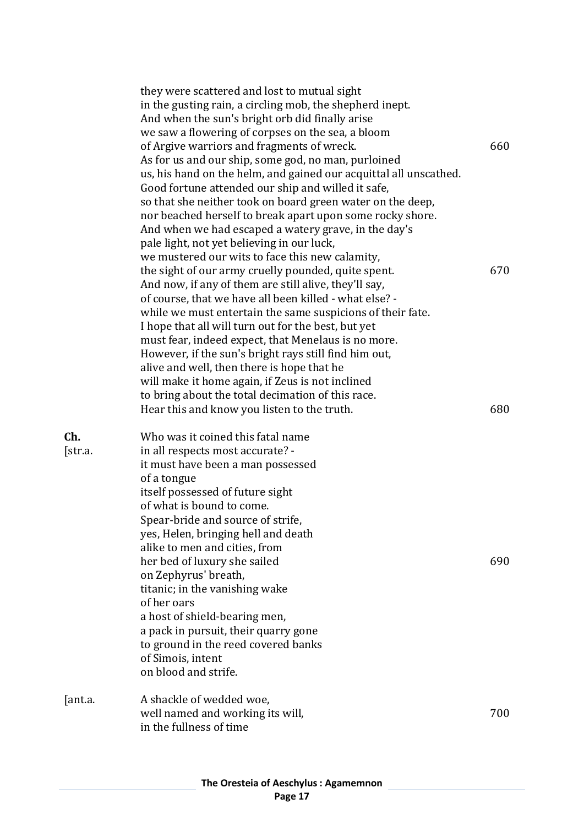|                | they were scattered and lost to mutual sight<br>in the gusting rain, a circling mob, the shepherd inept.<br>And when the sun's bright orb did finally arise<br>we saw a flowering of corpses on the sea, a bloom<br>of Argive warriors and fragments of wreck.<br>As for us and our ship, some god, no man, purloined<br>us, his hand on the helm, and gained our acquittal all unscathed.<br>Good fortune attended our ship and willed it safe,<br>so that she neither took on board green water on the deep,<br>nor beached herself to break apart upon some rocky shore.<br>And when we had escaped a watery grave, in the day's<br>pale light, not yet believing in our luck, | 660        |
|----------------|-----------------------------------------------------------------------------------------------------------------------------------------------------------------------------------------------------------------------------------------------------------------------------------------------------------------------------------------------------------------------------------------------------------------------------------------------------------------------------------------------------------------------------------------------------------------------------------------------------------------------------------------------------------------------------------|------------|
|                | we mustered our wits to face this new calamity,<br>the sight of our army cruelly pounded, quite spent.<br>And now, if any of them are still alive, they'll say,<br>of course, that we have all been killed - what else? -<br>while we must entertain the same suspicions of their fate.<br>I hope that all will turn out for the best, but yet<br>must fear, indeed expect, that Menelaus is no more.<br>However, if the sun's bright rays still find him out,<br>alive and well, then there is hope that he<br>will make it home again, if Zeus is not inclined<br>to bring about the total decimation of this race.<br>Hear this and know you listen to the truth.              | 670<br>680 |
| Ch.<br>[str.a. | Who was it coined this fatal name<br>in all respects most accurate? -<br>it must have been a man possessed<br>of a tongue<br>itself possessed of future sight<br>of what is bound to come.<br>Spear-bride and source of strife<br>yes, Helen, bringing hell and death<br>alike to men and cities, from<br>her bed of luxury she sailed<br>on Zephyrus' breath,<br>titanic; in the vanishing wake<br>of her oars<br>a host of shield-bearing men,<br>a pack in pursuit, their quarry gone<br>to ground in the reed covered banks<br>of Simois, intent<br>on blood and strife.                                                                                                      | 690        |
| [ant.a.        | A shackle of wedded woe,<br>well named and working its will,<br>in the fullness of time                                                                                                                                                                                                                                                                                                                                                                                                                                                                                                                                                                                           | 700        |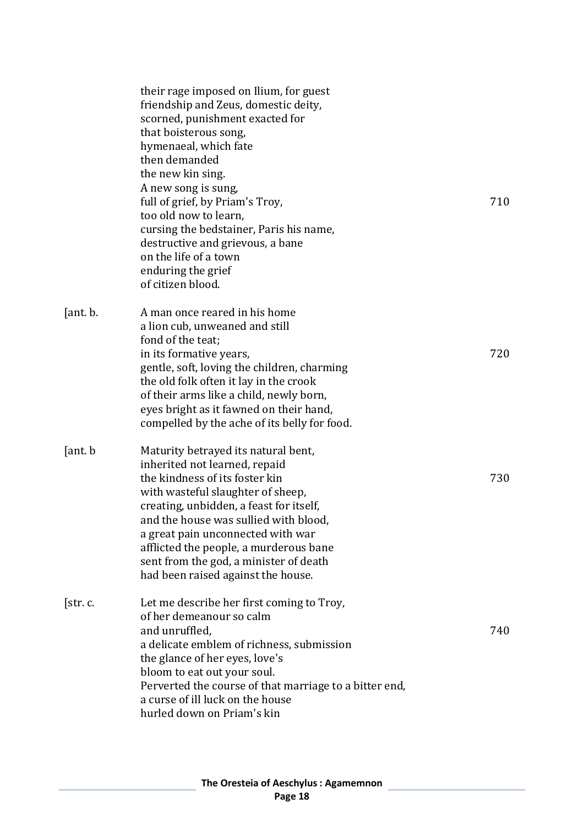|          | their rage imposed on Ilium, for guest<br>friendship and Zeus, domestic deity,<br>scorned, punishment exacted for<br>that boisterous song,<br>hymenaeal, which fate<br>then demanded<br>the new kin sing.<br>A new song is sung,<br>full of grief, by Priam's Troy,<br>too old now to learn,<br>cursing the bedstainer, Paris his name,<br>destructive and grievous, a bane<br>on the life of a town<br>enduring the grief<br>of citizen blood. | 710 |
|----------|-------------------------------------------------------------------------------------------------------------------------------------------------------------------------------------------------------------------------------------------------------------------------------------------------------------------------------------------------------------------------------------------------------------------------------------------------|-----|
| [ant. b. | A man once reared in his home<br>a lion cub, unweaned and still<br>fond of the teat;<br>in its formative years,<br>gentle, soft, loving the children, charming<br>the old folk often it lay in the crook<br>of their arms like a child, newly born,<br>eyes bright as it fawned on their hand,<br>compelled by the ache of its belly for food.                                                                                                  | 720 |
| [ant. b] | Maturity betrayed its natural bent,<br>inherited not learned, repaid<br>the kindness of its foster kin<br>with wasteful slaughter of sheep,<br>creating, unbidden, a feast for itself,<br>and the house was sullied with blood<br>a great pain unconnected with war<br>afflicted the people, a murderous bane<br>sent from the god, a minister of death<br>had been raised against the house.                                                   | 730 |
| [str.c.  | Let me describe her first coming to Troy,<br>of her demeanour so calm<br>and unruffled,<br>a delicate emblem of richness, submission<br>the glance of her eyes, love's<br>bloom to eat out your soul.<br>Perverted the course of that marriage to a bitter end,<br>a curse of ill luck on the house<br>hurled down on Priam's kin                                                                                                               | 740 |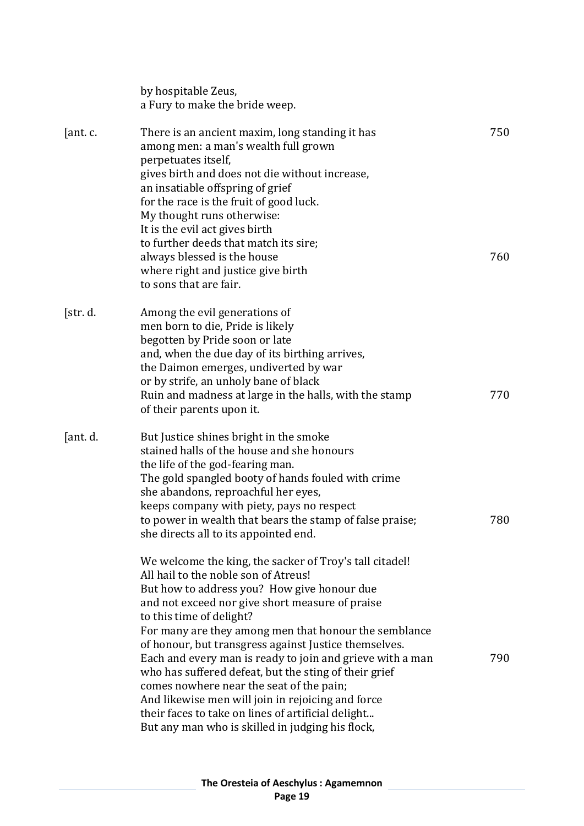|          | by hospitable Zeus,<br>a Fury to make the bride weep.                                                                                                                                                                                                                                                                                                                                                                                                                                                                                                                                                                                                                            |            |
|----------|----------------------------------------------------------------------------------------------------------------------------------------------------------------------------------------------------------------------------------------------------------------------------------------------------------------------------------------------------------------------------------------------------------------------------------------------------------------------------------------------------------------------------------------------------------------------------------------------------------------------------------------------------------------------------------|------------|
| [ant. c. | There is an ancient maxim, long standing it has<br>among men: a man's wealth full grown<br>perpetuates itself,<br>gives birth and does not die without increase,<br>an insatiable offspring of grief<br>for the race is the fruit of good luck.<br>My thought runs otherwise:<br>It is the evil act gives birth<br>to further deeds that match its sire;<br>always blessed is the house<br>where right and justice give birth<br>to sons that are fair.                                                                                                                                                                                                                          | 750<br>760 |
| [str. d. | Among the evil generations of<br>men born to die, Pride is likely<br>begotten by Pride soon or late<br>and, when the due day of its birthing arrives,<br>the Daimon emerges, undiverted by war<br>or by strife, an unholy bane of black<br>Ruin and madness at large in the halls, with the stamp<br>of their parents upon it.                                                                                                                                                                                                                                                                                                                                                   | 770        |
| [ant. d. | But Justice shines bright in the smoke<br>stained halls of the house and she honours<br>the life of the god-fearing man.<br>The gold spangled booty of hands fouled with crime<br>she abandons, reproachful her eyes,<br>keeps company with piety, pays no respect<br>to power in wealth that bears the stamp of false praise;<br>she directs all to its appointed end.                                                                                                                                                                                                                                                                                                          | 780        |
|          | We welcome the king, the sacker of Troy's tall citadel!<br>All hail to the noble son of Atreus!<br>But how to address you? How give honour due<br>and not exceed nor give short measure of praise<br>to this time of delight?<br>For many are they among men that honour the semblance<br>of honour, but transgress against Justice themselves.<br>Each and every man is ready to join and grieve with a man<br>who has suffered defeat, but the sting of their grief<br>comes nowhere near the seat of the pain;<br>And likewise men will join in rejoicing and force<br>their faces to take on lines of artificial delight<br>But any man who is skilled in judging his flock, | 790        |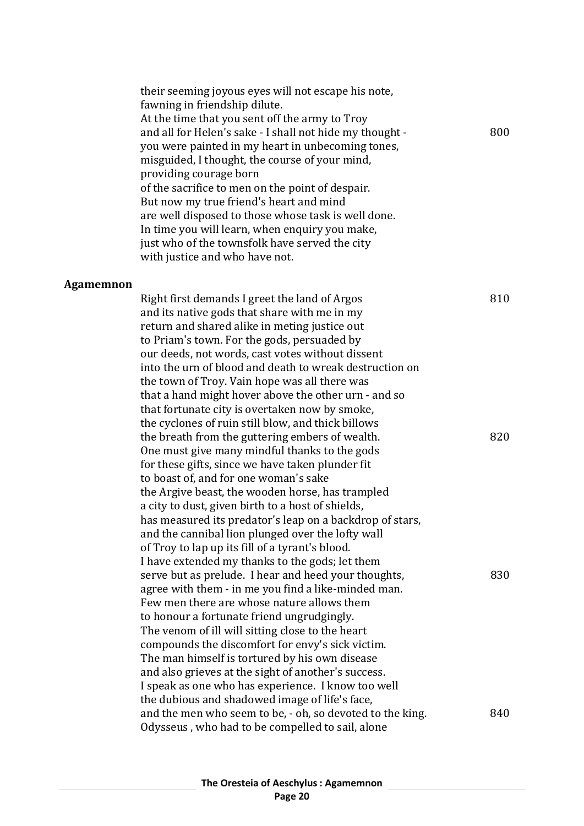|           | their seeming joyous eyes will not escape his note,<br>fawning in friendship dilute.<br>At the time that you sent off the army to Troy<br>and all for Helen's sake - I shall not hide my thought -<br>you were painted in my heart in unbecoming tones,<br>misguided, I thought, the course of your mind,<br>providing courage born<br>of the sacrifice to men on the point of despair.<br>But now my true friend's heart and mind<br>are well disposed to those whose task is well done.<br>In time you will learn, when enquiry you make, | 800 |
|-----------|---------------------------------------------------------------------------------------------------------------------------------------------------------------------------------------------------------------------------------------------------------------------------------------------------------------------------------------------------------------------------------------------------------------------------------------------------------------------------------------------------------------------------------------------|-----|
|           | just who of the townsfolk have served the city                                                                                                                                                                                                                                                                                                                                                                                                                                                                                              |     |
|           | with justice and who have not.                                                                                                                                                                                                                                                                                                                                                                                                                                                                                                              |     |
| Agamemnon |                                                                                                                                                                                                                                                                                                                                                                                                                                                                                                                                             |     |
|           | Right first demands I greet the land of Argos<br>and its native gods that share with me in my<br>return and shared alike in meting justice out<br>to Priam's town. For the gods, persuaded by<br>our deeds, not words, cast votes without dissent<br>into the urn of blood and death to wreak destruction on<br>the town of Troy. Vain hope was all there was<br>that a hand might hover above the other urn - and so<br>that fortunate city is overtaken now by smoke,<br>the cyclones of ruin still blow, and thick billows               | 810 |
|           | the breath from the guttering embers of wealth.<br>One must give many mindful thanks to the gods<br>for these gifts, since we have taken plunder fit<br>to boast of, and for one woman's sake<br>the Argive beast, the wooden horse, has trampled<br>a city to dust, given birth to a host of shields,<br>has measured its predator's leap on a backdrop of stars,<br>and the cannibal lion plunged over the lofty wall<br>of Troy to lap up its fill of a tyrant's blood.                                                                  | 820 |

I have extended my thanks to the gods; let them serve but as prelude. I hear and heed your thoughts, 830 agree with them - in me you find a like-minded man. Few men there are whose nature allows them to honour a fortunate friend ungrudgingly. The venom of ill will sitting close to the heart compounds the discomfort for envy's sick victim. The man himself is tortured by his own disease and also grieves at the sight of another's success. I speak as one who has experience. I know too well the dubious and shadowed image of life's face, and the men who seem to be, - oh, so devoted to the king. 840 Odysseus , who had to be compelled to sail, alone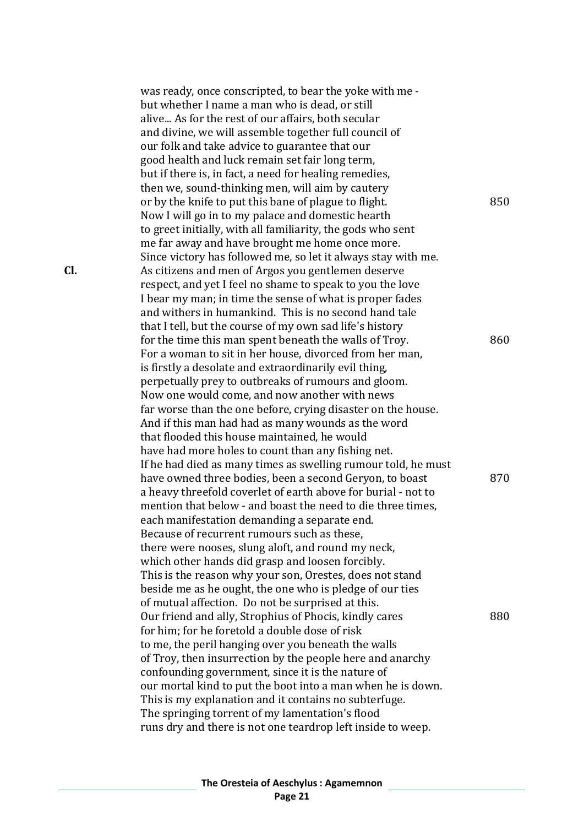was ready, once conscripted, to bear the yoke with me but whether I name a man who is dead, or still alive... As for the rest of our affairs, both secular and divine, we will assemble together full council of our folk and take advice to guarantee that our good health and luck remain set fair long term, but if there is, in fact, a need for healing remedies, then we, sound-thinking men, will aim by cautery or by the knife to put this bane of plague to flight. 850 Now I will go in to my palace and domestic hearth to greet initially, with all familiarity, the gods who sent me far away and have brought me home once more. Since victory has followed me, so let it always stay with me. **Cl.** As citizens and men of Argos you gentlemen deserve respect, and yet I feel no shame to speak to you the love I bear my man; in time the sense of what is proper fades and withers in humankind. This is no second hand tale that I tell, but the course of my own sad life's history for the time this man spent beneath the walls of Troy. 860 For a woman to sit in her house, divorced from her man, is firstly a desolate and extraordinarily evil thing, perpetually prey to outbreaks of rumours and gloom. Now one would come, and now another with news far worse than the one before, crying disaster on the house. And if this man had had as many wounds as the word that flooded this house maintained, he would have had more holes to count than any fishing net. If he had died as many times as swelling rumour told, he must have owned three bodies, been a second Geryon, to boast 870 a heavy threefold coverlet of earth above for burial - not to mention that below - and boast the need to die three times, each manifestation demanding a separate end. Because of recurrent rumours such as these, there were nooses, slung aloft, and round my neck, which other hands did grasp and loosen forcibly. This is the reason why your son, Orestes, does not stand beside me as he ought, the one who is pledge of our ties of mutual affection. Do not be surprised at this. Our friend and ally, Strophius of Phocis, kindly cares 880 for him; for he foretold a double dose of risk to me, the peril hanging over you beneath the walls of Troy, then insurrection by the people here and anarchy confounding government, since it is the nature of our mortal kind to put the boot into a man when he is down. This is my explanation and it contains no subterfuge. The springing torrent of my lamentation's flood runs dry and there is not one teardrop left inside to weep.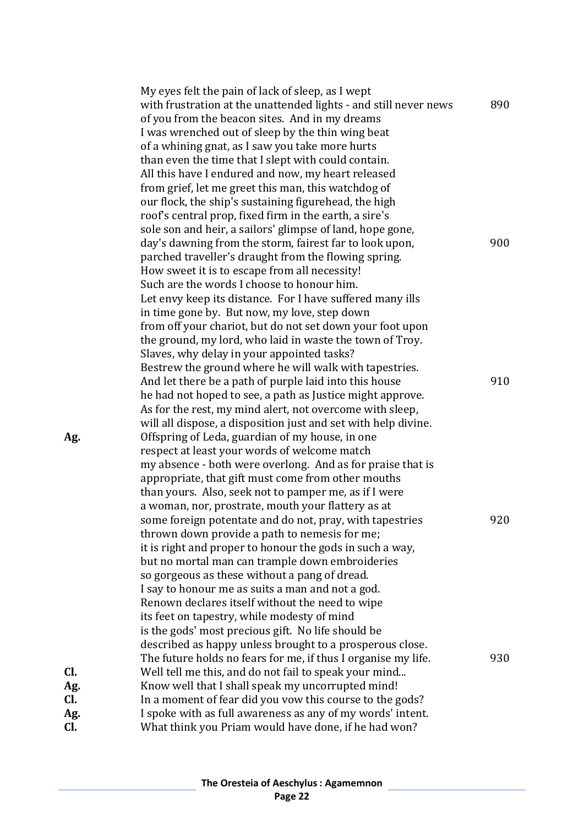|     | My eyes felt the pain of lack of sleep, as I wept                |     |
|-----|------------------------------------------------------------------|-----|
|     | with frustration at the unattended lights - and still never news | 890 |
|     | of you from the beacon sites. And in my dreams                   |     |
|     | I was wrenched out of sleep by the thin wing beat                |     |
|     | of a whining gnat, as I saw you take more hurts                  |     |
|     | than even the time that I slept with could contain.              |     |
|     | All this have I endured and now, my heart released               |     |
|     | from grief, let me greet this man, this watchdog of              |     |
|     | our flock, the ship's sustaining figurehead, the high            |     |
|     | roof's central prop, fixed firm in the earth, a sire's           |     |
|     | sole son and heir, a sailors' glimpse of land, hope gone,        |     |
|     | day's dawning from the storm, fairest far to look upon,          | 900 |
|     | parched traveller's draught from the flowing spring.             |     |
|     | How sweet it is to escape from all necessity!                    |     |
|     | Such are the words I choose to honour him.                       |     |
|     | Let envy keep its distance. For I have suffered many ills        |     |
|     | in time gone by. But now, my love, step down                     |     |
|     | from off your chariot, but do not set down your foot upon        |     |
|     | the ground, my lord, who laid in waste the town of Troy.         |     |
|     | Slaves, why delay in your appointed tasks?                       |     |
|     | Bestrew the ground where he will walk with tapestries.           |     |
|     | And let there be a path of purple laid into this house           | 910 |
|     | he had not hoped to see, a path as Justice might approve.        |     |
|     | As for the rest, my mind alert, not overcome with sleep,         |     |
|     | will all dispose, a disposition just and set with help divine.   |     |
| Ag. | Offspring of Leda, guardian of my house, in one                  |     |
|     | respect at least your words of welcome match                     |     |
|     | my absence - both were overlong. And as for praise that is       |     |
|     | appropriate, that gift must come from other mouths               |     |
|     | than yours. Also, seek not to pamper me, as if I were            |     |
|     | a woman, nor, prostrate, mouth your flattery as at               |     |
|     | some foreign potentate and do not, pray, with tapestries         | 920 |
|     | thrown down provide a path to nemesis for me;                    |     |
|     | it is right and proper to honour the gods in such a way,         |     |
|     | but no mortal man can trample down embroideries                  |     |
|     | so gorgeous as these without a pang of dread.                    |     |
|     | I say to honour me as suits a man and not a god.                 |     |
|     | Renown declares itself without the need to wipe                  |     |
|     | its feet on tapestry, while modesty of mind                      |     |
|     | is the gods' most precious gift. No life should be               |     |
|     | described as happy unless brought to a prosperous close.         |     |
|     | The future holds no fears for me, if thus I organise my life.    | 930 |
| Cl. | Well tell me this, and do not fail to speak your mind            |     |
| Ag. | Know well that I shall speak my uncorrupted mind!                |     |
| CI. | In a moment of fear did you vow this course to the gods?         |     |
| Ag. | I spoke with as full awareness as any of my words' intent.       |     |
| Cl. | What think you Priam would have done, if he had won?             |     |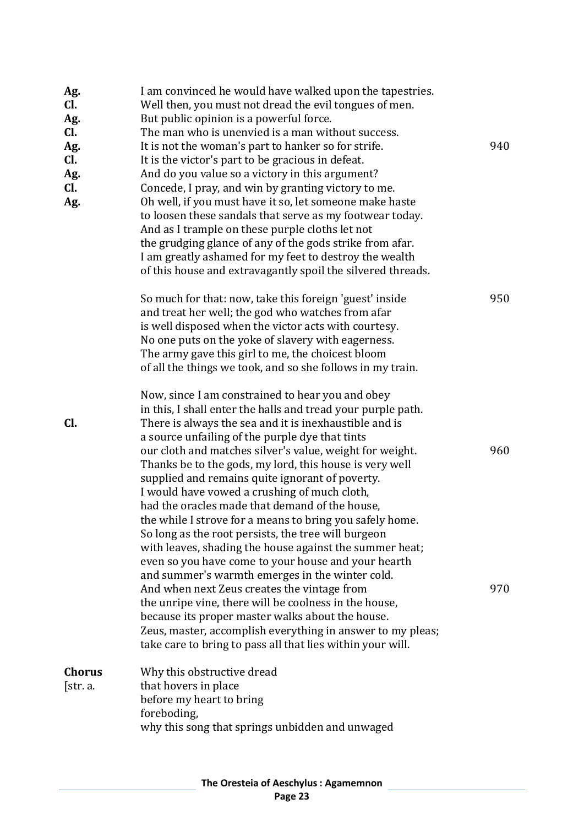| Ag.<br>Cl.<br>Ag.<br>CI.<br>Ag.<br>Cl.<br>Ag.<br>Cl.<br>Ag. | I am convinced he would have walked upon the tapestries.<br>Well then, you must not dread the evil tongues of men.<br>But public opinion is a powerful force.<br>The man who is unenvied is a man without success.<br>It is not the woman's part to hanker so for strife.<br>It is the victor's part to be gracious in defeat.<br>And do you value so a victory in this argument?<br>Concede, I pray, and win by granting victory to me.<br>Oh well, if you must have it so, let someone make haste<br>to loosen these sandals that serve as my footwear today.<br>And as I trample on these purple cloths let not<br>the grudging glance of any of the gods strike from afar.<br>I am greatly ashamed for my feet to destroy the wealth                                                                                                                                                                  | 940        |
|-------------------------------------------------------------|-----------------------------------------------------------------------------------------------------------------------------------------------------------------------------------------------------------------------------------------------------------------------------------------------------------------------------------------------------------------------------------------------------------------------------------------------------------------------------------------------------------------------------------------------------------------------------------------------------------------------------------------------------------------------------------------------------------------------------------------------------------------------------------------------------------------------------------------------------------------------------------------------------------|------------|
|                                                             | of this house and extravagantly spoil the silvered threads.<br>So much for that: now, take this foreign 'guest' inside<br>and treat her well; the god who watches from afar<br>is well disposed when the victor acts with courtesy.<br>No one puts on the yoke of slavery with eagerness.<br>The army gave this girl to me, the choicest bloom<br>of all the things we took, and so she follows in my train.                                                                                                                                                                                                                                                                                                                                                                                                                                                                                              | 950        |
| Cl.                                                         | Now, since I am constrained to hear you and obey<br>in this, I shall enter the halls and tread your purple path.<br>There is always the sea and it is inexhaustible and is<br>a source unfailing of the purple dye that tints<br>our cloth and matches silver's value, weight for weight.<br>Thanks be to the gods, my lord, this house is very well<br>supplied and remains quite ignorant of poverty.<br>I would have vowed a crushing of much cloth,<br>had the oracles made that demand of the house,<br>the while I strove for a means to bring you safely home.<br>So long as the root persists, the tree will burgeon<br>with leaves, shading the house against the summer heat;<br>even so you have come to your house and your hearth<br>and summer's warmth emerges in the winter cold.<br>And when next Zeus creates the vintage from<br>the unripe vine, there will be coolness in the house, | 960<br>970 |
|                                                             | because its proper master walks about the house.<br>Zeus, master, accomplish everything in answer to my pleas;<br>take care to bring to pass all that lies within your will.                                                                                                                                                                                                                                                                                                                                                                                                                                                                                                                                                                                                                                                                                                                              |            |
| <b>Chorus</b><br>[str. a.                                   | Why this obstructive dread<br>that hovers in place<br>before my heart to bring<br>foreboding,<br>why this song that springs unbidden and unwaged                                                                                                                                                                                                                                                                                                                                                                                                                                                                                                                                                                                                                                                                                                                                                          |            |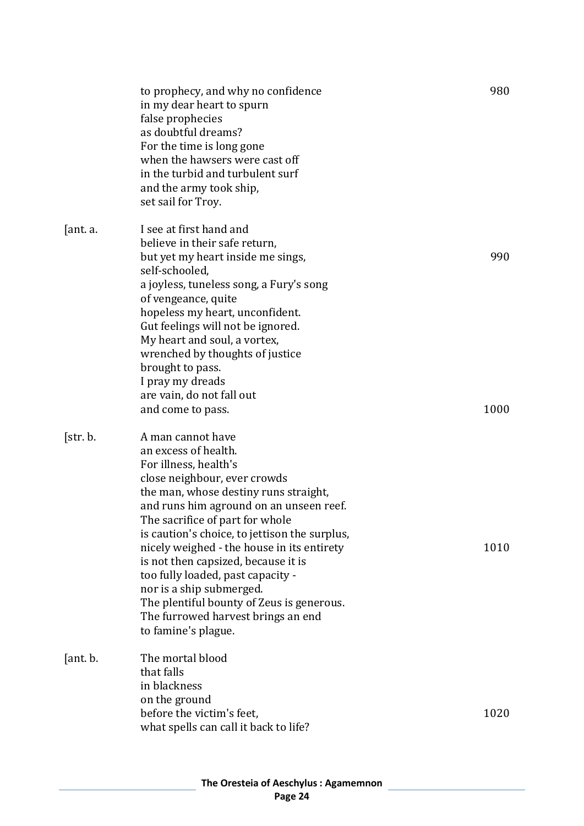|          | to prophecy, and why no confidence<br>in my dear heart to spurn<br>false prophecies<br>as doubtful dreams?<br>For the time is long gone<br>when the hawsers were cast off<br>in the turbid and turbulent surf<br>and the army took ship,<br>set sail for Troy.                                                                                                                                                                                                                                                                             | 980  |
|----------|--------------------------------------------------------------------------------------------------------------------------------------------------------------------------------------------------------------------------------------------------------------------------------------------------------------------------------------------------------------------------------------------------------------------------------------------------------------------------------------------------------------------------------------------|------|
| [ant. a. | I see at first hand and<br>believe in their safe return,<br>but yet my heart inside me sings,<br>self-schooled,<br>a joyless, tuneless song, a Fury's song<br>of vengeance, quite<br>hopeless my heart, unconfident.<br>Gut feelings will not be ignored.<br>My heart and soul, a vortex,<br>wrenched by thoughts of justice<br>brought to pass.<br>I pray my dreads<br>are vain, do not fall out                                                                                                                                          | 990  |
|          | and come to pass.                                                                                                                                                                                                                                                                                                                                                                                                                                                                                                                          | 1000 |
| [str. b. | A man cannot have<br>an excess of health.<br>For illness, health's<br>close neighbour, ever crowds<br>the man, whose destiny runs straight,<br>and runs him aground on an unseen reef.<br>The sacrifice of part for whole<br>is caution's choice, to jettison the surplus,<br>nicely weighed - the house in its entirety<br>is not then capsized, because it is<br>too fully loaded, past capacity -<br>nor is a ship submerged.<br>The plentiful bounty of Zeus is generous.<br>The furrowed harvest brings an end<br>to famine's plague. | 1010 |
| [ant. b. | The mortal blood<br>that falls<br>in blackness<br>on the ground<br>before the victim's feet,                                                                                                                                                                                                                                                                                                                                                                                                                                               | 1020 |
|          | what spells can call it back to life?                                                                                                                                                                                                                                                                                                                                                                                                                                                                                                      |      |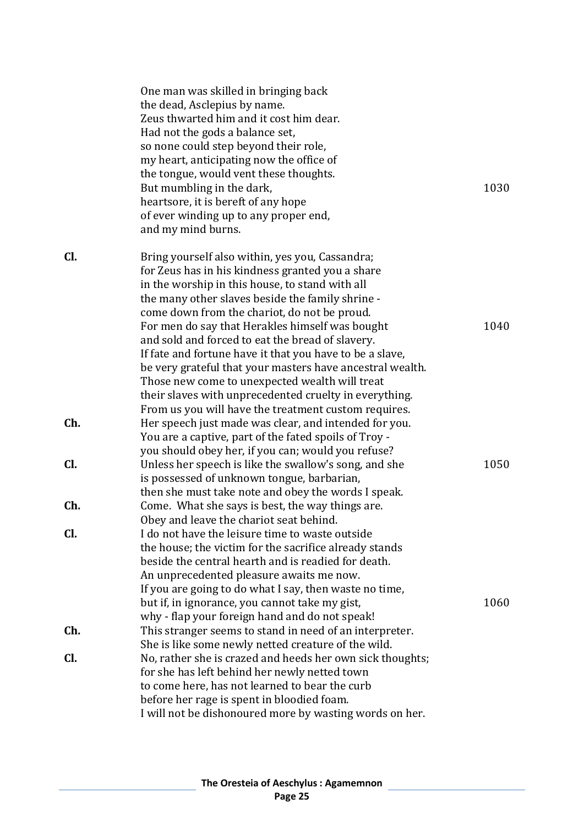|     | One man was skilled in bringing back                      |      |
|-----|-----------------------------------------------------------|------|
|     | the dead, Asclepius by name.                              |      |
|     | Zeus thwarted him and it cost him dear.                   |      |
|     | Had not the gods a balance set,                           |      |
|     | so none could step beyond their role,                     |      |
|     | my heart, anticipating now the office of                  |      |
|     | the tongue, would vent these thoughts.                    |      |
|     | But mumbling in the dark,                                 | 1030 |
|     | heartsore, it is bereft of any hope                       |      |
|     | of ever winding up to any proper end,                     |      |
|     | and my mind burns.                                        |      |
| Cl. | Bring yourself also within, yes you, Cassandra;           |      |
|     | for Zeus has in his kindness granted you a share          |      |
|     | in the worship in this house, to stand with all           |      |
|     | the many other slaves beside the family shrine -          |      |
|     | come down from the chariot, do not be proud.              |      |
|     | For men do say that Herakles himself was bought           | 1040 |
|     | and sold and forced to eat the bread of slavery.          |      |
|     | If fate and fortune have it that you have to be a slave,  |      |
|     | be very grateful that your masters have ancestral wealth. |      |
|     | Those new come to unexpected wealth will treat            |      |
|     | their slaves with unprecedented cruelty in everything.    |      |
|     | From us you will have the treatment custom requires.      |      |
| Ch. | Her speech just made was clear, and intended for you.     |      |
|     | You are a captive, part of the fated spoils of Troy -     |      |
|     | you should obey her, if you can; would you refuse?        |      |
| Cl. | Unless her speech is like the swallow's song, and she     | 1050 |
|     | is possessed of unknown tongue, barbarian,                |      |
|     | then she must take note and obey the words I speak.       |      |
| Ch. | Come. What she says is best, the way things are.          |      |
|     | Obey and leave the chariot seat behind.                   |      |
| Cl. | I do not have the leisure time to waste outside           |      |
|     | the house; the victim for the sacrifice already stands    |      |
|     | beside the central hearth and is readied for death.       |      |
|     | An unprecedented pleasure awaits me now.                  |      |
|     | If you are going to do what I say, then waste no time,    |      |
|     | but if, in ignorance, you cannot take my gist,            | 1060 |
|     | why - flap your foreign hand and do not speak!            |      |
| Ch. | This stranger seems to stand in need of an interpreter.   |      |
|     | She is like some newly netted creature of the wild.       |      |
| Cl. | No, rather she is crazed and heeds her own sick thoughts; |      |
|     | for she has left behind her newly netted town             |      |
|     | to come here, has not learned to bear the curb            |      |
|     | before her rage is spent in bloodied foam.                |      |
|     | I will not be dishonoured more by wasting words on her.   |      |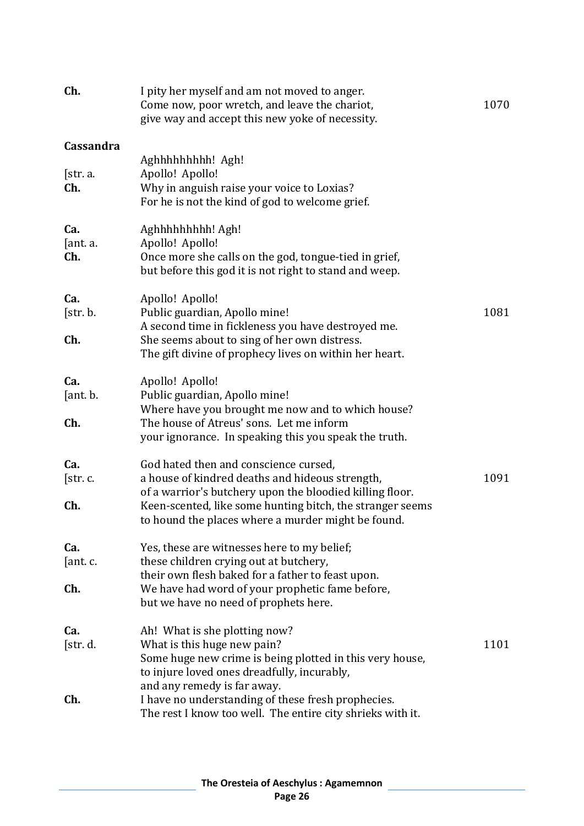| Ch.                    | I pity her myself and am not moved to anger.<br>Come now, poor wretch, and leave the chariot,<br>give way and accept this new yoke of necessity.                                                                                                                        | 1070 |
|------------------------|-------------------------------------------------------------------------------------------------------------------------------------------------------------------------------------------------------------------------------------------------------------------------|------|
| Cassandra              |                                                                                                                                                                                                                                                                         |      |
| [str. a.<br>Ch.        | Aghhhhhhhhh! Agh!<br>Apollo! Apollo!<br>Why in anguish raise your voice to Loxias?<br>For he is not the kind of god to welcome grief.                                                                                                                                   |      |
| Ca.<br>[ant. a.<br>Ch. | Aghhhhhhhh! Agh!<br>Apollo! Apollo!<br>Once more she calls on the god, tongue-tied in grief,<br>but before this god it is not right to stand and weep.                                                                                                                  |      |
| Ca.<br>[str. b.<br>Ch. | Apollo! Apollo!<br>Public guardian, Apollo mine!<br>A second time in fickleness you have destroyed me.<br>She seems about to sing of her own distress.<br>The gift divine of prophecy lives on within her heart.                                                        | 1081 |
| Ca.<br>[ant. b.<br>Ch. | Apollo! Apollo!<br>Public guardian, Apollo mine!<br>Where have you brought me now and to which house?<br>The house of Atreus' sons. Let me inform                                                                                                                       |      |
|                        | your ignorance. In speaking this you speak the truth.                                                                                                                                                                                                                   |      |
| Ca.<br>[str.c.<br>Ch.  | God hated then and conscience cursed,<br>a house of kindred deaths and hideous strength,<br>of a warrior's butchery upon the bloodied killing floor.<br>Keen-scented, like some hunting bitch, the stranger seems<br>to hound the places where a murder might be found. | 1091 |
| Ca.<br>[ant. c.<br>Ch. | Yes, these are witnesses here to my belief;<br>these children crying out at butchery,<br>their own flesh baked for a father to feast upon.<br>We have had word of your prophetic fame before,                                                                           |      |
|                        | but we have no need of prophets here.                                                                                                                                                                                                                                   |      |
| Ca.<br>[str. d.        | Ah! What is she plotting now?<br>What is this huge new pain?<br>Some huge new crime is being plotted in this very house,<br>to injure loved ones dreadfully, incurably,                                                                                                 | 1101 |
| Ch.                    | and any remedy is far away.<br>I have no understanding of these fresh prophecies.<br>The rest I know too well. The entire city shrieks with it.                                                                                                                         |      |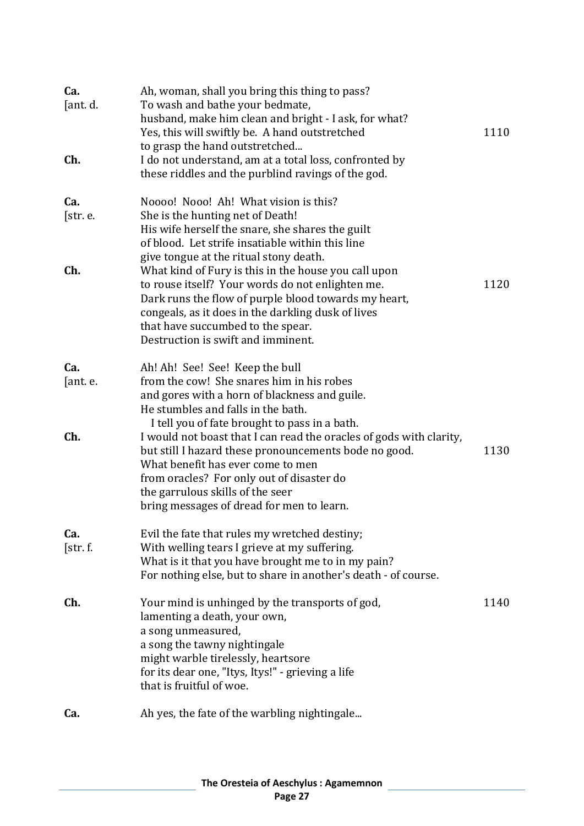| Ca.<br>[ant. d.<br>Ch. | Ah, woman, shall you bring this thing to pass?<br>To wash and bathe your bedmate,<br>husband, make him clean and bright - I ask, for what?<br>Yes, this will swiftly be. A hand outstretched<br>to grasp the hand outstretched<br>I do not understand, am at a total loss, confronted by<br>these riddles and the purblind ravings of the god. | 1110 |
|------------------------|------------------------------------------------------------------------------------------------------------------------------------------------------------------------------------------------------------------------------------------------------------------------------------------------------------------------------------------------|------|
| Ca.<br>[str. e.<br>Ch. | Noooo! Nooo! Ah! What vision is this?<br>She is the hunting net of Death!<br>His wife herself the snare, she shares the guilt<br>of blood. Let strife insatiable within this line<br>give tongue at the ritual stony death.<br>What kind of Fury is this in the house you call upon                                                            | 1120 |
|                        | to rouse itself? Your words do not enlighten me.<br>Dark runs the flow of purple blood towards my heart,<br>congeals, as it does in the darkling dusk of lives<br>that have succumbed to the spear.<br>Destruction is swift and imminent.                                                                                                      |      |
| Ca.                    | Ah! Ah! See! See! Keep the bull                                                                                                                                                                                                                                                                                                                |      |
| [ant. e.               | from the cow! She snares him in his robes                                                                                                                                                                                                                                                                                                      |      |
|                        | and gores with a horn of blackness and guile.                                                                                                                                                                                                                                                                                                  |      |
|                        | He stumbles and falls in the bath.<br>I tell you of fate brought to pass in a bath.                                                                                                                                                                                                                                                            |      |
| Ch.                    | I would not boast that I can read the oracles of gods with clarity,                                                                                                                                                                                                                                                                            |      |
|                        | but still I hazard these pronouncements bode no good.                                                                                                                                                                                                                                                                                          | 1130 |
|                        | What benefit has ever come to men                                                                                                                                                                                                                                                                                                              |      |
|                        | from oracles? For only out of disaster do<br>the garrulous skills of the seer                                                                                                                                                                                                                                                                  |      |
|                        | bring messages of dread for men to learn.                                                                                                                                                                                                                                                                                                      |      |
| Ca.                    | Evil the fate that rules my wretched destiny;                                                                                                                                                                                                                                                                                                  |      |
| [str. f.               | With welling tears I grieve at my suffering.                                                                                                                                                                                                                                                                                                   |      |
|                        | What is it that you have brought me to in my pain?                                                                                                                                                                                                                                                                                             |      |
|                        | For nothing else, but to share in another's death - of course.                                                                                                                                                                                                                                                                                 |      |
| Ch.                    | Your mind is unhinged by the transports of god,                                                                                                                                                                                                                                                                                                | 1140 |
|                        | lamenting a death, your own,                                                                                                                                                                                                                                                                                                                   |      |
|                        | a song unmeasured,<br>a song the tawny nightingale                                                                                                                                                                                                                                                                                             |      |
|                        | might warble tirelessly, heartsore                                                                                                                                                                                                                                                                                                             |      |
|                        | for its dear one, "Itys, Itys!" - grieving a life                                                                                                                                                                                                                                                                                              |      |
|                        | that is fruitful of woe.                                                                                                                                                                                                                                                                                                                       |      |
| Ca.                    | Ah yes, the fate of the warbling nightingale                                                                                                                                                                                                                                                                                                   |      |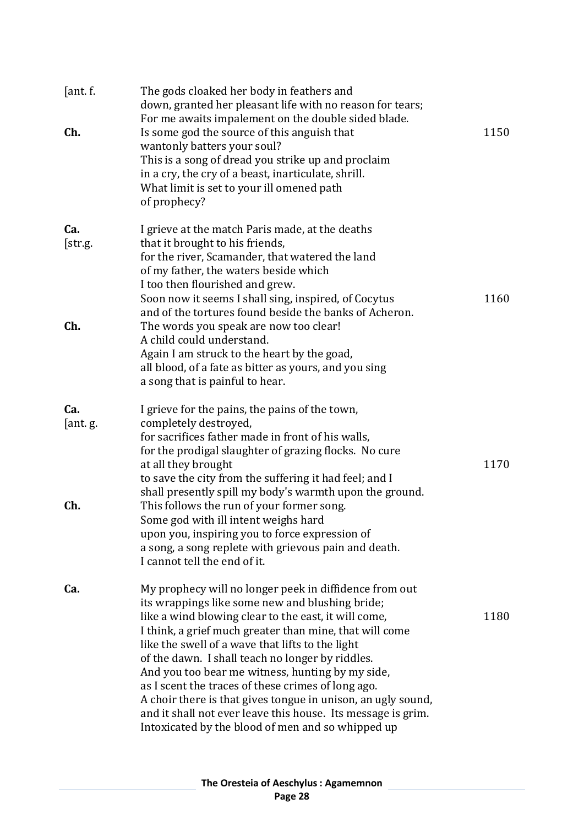| [ant. f.]<br>Ch. | The gods cloaked her body in feathers and<br>down, granted her pleasant life with no reason for tears;<br>For me awaits impalement on the double sided blade.<br>Is some god the source of this anguish that<br>wantonly batters your soul?<br>This is a song of dread you strike up and proclaim<br>in a cry, the cry of a beast, inarticulate, shrill.<br>What limit is set to your ill omened path<br>of prophecy?                                                                                                                                                                                                               | 1150 |
|------------------|-------------------------------------------------------------------------------------------------------------------------------------------------------------------------------------------------------------------------------------------------------------------------------------------------------------------------------------------------------------------------------------------------------------------------------------------------------------------------------------------------------------------------------------------------------------------------------------------------------------------------------------|------|
| Ca.<br>[str.g.   | I grieve at the match Paris made, at the deaths<br>that it brought to his friends,<br>for the river, Scamander, that watered the land<br>of my father, the waters beside which<br>I too then flourished and grew.<br>Soon now it seems I shall sing, inspired, of Cocytus<br>and of the tortures found beside the banks of Acheron.                                                                                                                                                                                                                                                                                                 | 1160 |
| Ch.              | The words you speak are now too clear!<br>A child could understand.<br>Again I am struck to the heart by the goad,<br>all blood, of a fate as bitter as yours, and you sing<br>a song that is painful to hear.                                                                                                                                                                                                                                                                                                                                                                                                                      |      |
| Ca.<br>[ant.g.]  | I grieve for the pains, the pains of the town,<br>completely destroyed,<br>for sacrifices father made in front of his walls,<br>for the prodigal slaughter of grazing flocks. No cure<br>at all they brought<br>to save the city from the suffering it had feel; and I<br>shall presently spill my body's warmth upon the ground.                                                                                                                                                                                                                                                                                                   | 1170 |
| Ch.              | This follows the run of your former song.<br>Some god with ill intent weighs hard<br>upon you, inspiring you to force expression of<br>a song, a song replete with grievous pain and death.<br>I cannot tell the end of it.                                                                                                                                                                                                                                                                                                                                                                                                         |      |
| Ca.              | My prophecy will no longer peek in diffidence from out<br>its wrappings like some new and blushing bride;<br>like a wind blowing clear to the east, it will come,<br>I think, a grief much greater than mine, that will come<br>like the swell of a wave that lifts to the light<br>of the dawn. I shall teach no longer by riddles.<br>And you too bear me witness, hunting by my side,<br>as I scent the traces of these crimes of long ago.<br>A choir there is that gives tongue in unison, an ugly sound,<br>and it shall not ever leave this house. Its message is grim.<br>Intoxicated by the blood of men and so whipped up | 1180 |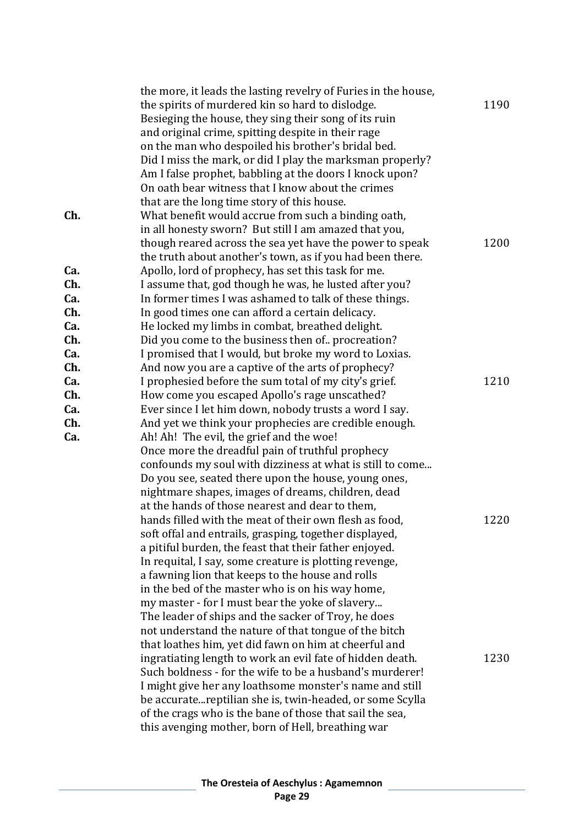|     | the more, it leads the lasting revelry of Furies in the house, |      |
|-----|----------------------------------------------------------------|------|
|     | the spirits of murdered kin so hard to dislodge.               | 1190 |
|     | Besieging the house, they sing their song of its ruin          |      |
|     | and original crime, spitting despite in their rage             |      |
|     | on the man who despoiled his brother's bridal bed.             |      |
|     | Did I miss the mark, or did I play the marksman properly?      |      |
|     | Am I false prophet, babbling at the doors I knock upon?        |      |
|     | On oath bear witness that I know about the crimes              |      |
|     | that are the long time story of this house.                    |      |
| Ch. | What benefit would accrue from such a binding oath,            |      |
|     | in all honesty sworn? But still I am amazed that you,          |      |
|     | though reared across the sea yet have the power to speak       | 1200 |
|     | the truth about another's town, as if you had been there.      |      |
| Ca. | Apollo, lord of prophecy, has set this task for me.            |      |
| Ch. | I assume that, god though he was, he lusted after you?         |      |
| Ca. | In former times I was ashamed to talk of these things.         |      |
| Ch. | In good times one can afford a certain delicacy.               |      |
| Ca. | He locked my limbs in combat, breathed delight.                |      |
| Ch. | Did you come to the business then of. procreation?             |      |
| Ca. | I promised that I would, but broke my word to Loxias.          |      |
| Ch. | And now you are a captive of the arts of prophecy?             |      |
| Ca. | I prophesied before the sum total of my city's grief.          | 1210 |
| Ch. | How come you escaped Apollo's rage unscathed?                  |      |
| Ca. | Ever since I let him down, nobody trusts a word I say.         |      |
| Ch. | And yet we think your prophecies are credible enough.          |      |
| Ca. | Ah! Ah! The evil, the grief and the woe!                       |      |
|     | Once more the dreadful pain of truthful prophecy               |      |
|     | confounds my soul with dizziness at what is still to come      |      |
|     | Do you see, seated there upon the house, young ones,           |      |
|     | nightmare shapes, images of dreams, children, dead             |      |
|     | at the hands of those nearest and dear to them,                |      |
|     | hands filled with the meat of their own flesh as food,         | 1220 |
|     | soft offal and entrails, grasping, together displayed,         |      |
|     | a pitiful burden, the feast that their father enjoyed.         |      |
|     | In requital, I say, some creature is plotting revenge,         |      |
|     | a fawning lion that keeps to the house and rolls               |      |
|     | in the bed of the master who is on his way home,               |      |
|     | my master - for I must bear the yoke of slavery                |      |
|     | The leader of ships and the sacker of Troy, he does            |      |
|     | not understand the nature of that tongue of the bitch          |      |
|     | that loathes him, yet did fawn on him at cheerful and          |      |
|     | ingratiating length to work an evil fate of hidden death.      | 1230 |
|     | Such boldness - for the wife to be a husband's murderer!       |      |
|     | I might give her any loathsome monster's name and still        |      |
|     | be accurate reptilian she is, twin-headed, or some Scylla      |      |
|     | of the crags who is the bane of those that sail the sea,       |      |
|     | this avenging mother, born of Hell, breathing war              |      |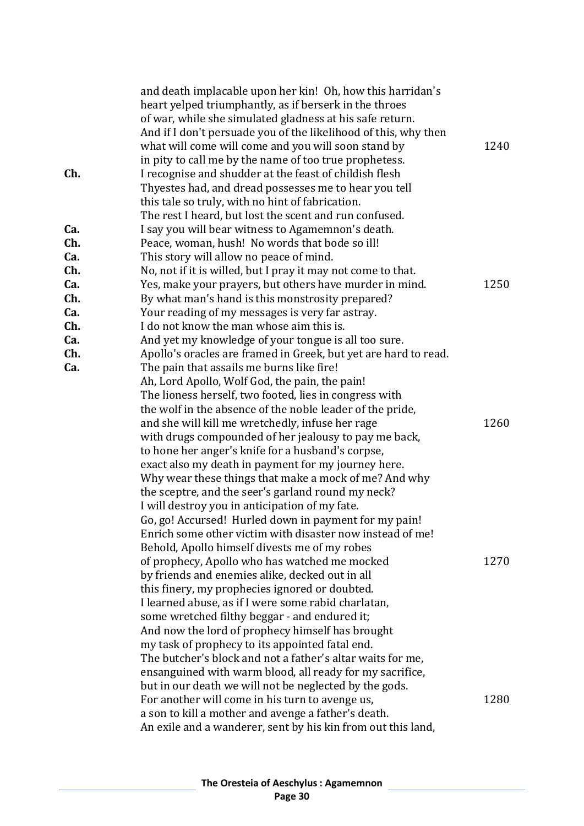|     | and death implacable upon her kin! Oh, how this harridan's      |      |
|-----|-----------------------------------------------------------------|------|
|     | heart yelped triumphantly, as if berserk in the throes          |      |
|     | of war, while she simulated gladness at his safe return.        |      |
|     | And if I don't persuade you of the likelihood of this, why then |      |
|     | what will come will come and you will soon stand by             | 1240 |
|     | in pity to call me by the name of too true prophetess.          |      |
| Ch. | I recognise and shudder at the feast of childish flesh          |      |
|     | Thyestes had, and dread possesses me to hear you tell           |      |
|     | this tale so truly, with no hint of fabrication.                |      |
|     | The rest I heard, but lost the scent and run confused.          |      |
| Ca. |                                                                 |      |
| Ch. | I say you will bear witness to Agamemnon's death.               |      |
|     | Peace, woman, hush! No words that bode so ill!                  |      |
| Ca. | This story will allow no peace of mind.                         |      |
| Ch. | No, not if it is willed, but I pray it may not come to that.    |      |
| Ca. | Yes, make your prayers, but others have murder in mind.         | 1250 |
| Ch. | By what man's hand is this monstrosity prepared?                |      |
| Ca. | Your reading of my messages is very far astray.                 |      |
| Ch. | I do not know the man whose aim this is.                        |      |
| Ca. | And yet my knowledge of your tongue is all too sure.            |      |
| Ch. | Apollo's oracles are framed in Greek, but yet are hard to read. |      |
| Ca. | The pain that assails me burns like fire!                       |      |
|     | Ah, Lord Apollo, Wolf God, the pain, the pain!                  |      |
|     | The lioness herself, two footed, lies in congress with          |      |
|     | the wolf in the absence of the noble leader of the pride,       |      |
|     | and she will kill me wretchedly, infuse her rage                | 1260 |
|     | with drugs compounded of her jealousy to pay me back,           |      |
|     | to hone her anger's knife for a husband's corpse,               |      |
|     | exact also my death in payment for my journey here.             |      |
|     | Why wear these things that make a mock of me? And why           |      |
|     | the sceptre, and the seer's garland round my neck?              |      |
|     | I will destroy you in anticipation of my fate.                  |      |
|     | Go, go! Accursed! Hurled down in payment for my pain!           |      |
|     | Enrich some other victim with disaster now instead of me!       |      |
|     | Behold, Apollo himself divests me of my robes                   |      |
|     | of prophecy, Apollo who has watched me mocked                   | 1270 |
|     | by friends and enemies alike, decked out in all                 |      |
|     | this finery, my prophecies ignored or doubted.                  |      |
|     | I learned abuse, as if I were some rabid charlatan,             |      |
|     | some wretched filthy beggar - and endured it;                   |      |
|     | And now the lord of prophecy himself has brought                |      |
|     | my task of prophecy to its appointed fatal end.                 |      |
|     | The butcher's block and not a father's altar waits for me,      |      |
|     | ensanguined with warm blood, all ready for my sacrifice,        |      |
|     | but in our death we will not be neglected by the gods.          |      |
|     | For another will come in his turn to avenge us,                 | 1280 |
|     | a son to kill a mother and avenge a father's death.             |      |
|     | An exile and a wanderer, sent by his kin from out this land,    |      |
|     |                                                                 |      |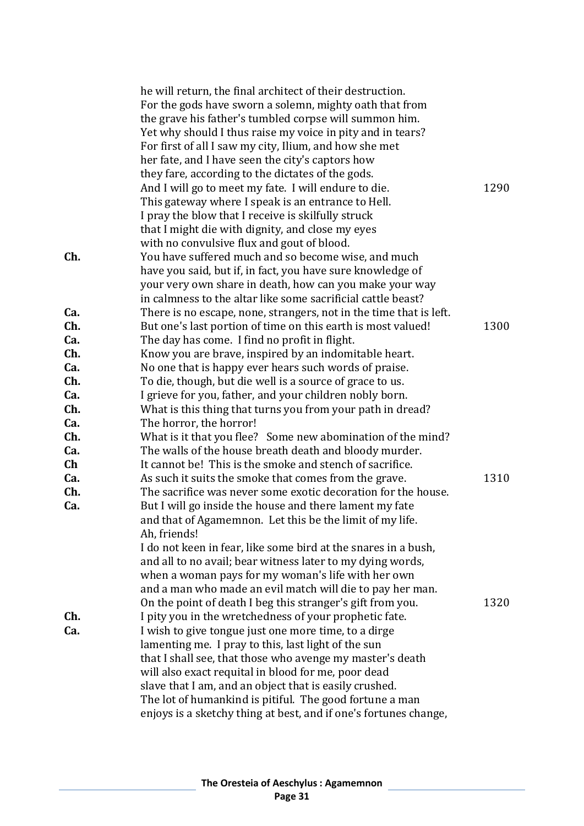|     | he will return, the final architect of their destruction.          |      |
|-----|--------------------------------------------------------------------|------|
|     | For the gods have sworn a solemn, mighty oath that from            |      |
|     | the grave his father's tumbled corpse will summon him.             |      |
|     | Yet why should I thus raise my voice in pity and in tears?         |      |
|     | For first of all I saw my city, Ilium, and how she met             |      |
|     | her fate, and I have seen the city's captors how                   |      |
|     | they fare, according to the dictates of the gods.                  |      |
|     | And I will go to meet my fate. I will endure to die.               | 1290 |
|     | This gateway where I speak is an entrance to Hell.                 |      |
|     | I pray the blow that I receive is skilfully struck                 |      |
|     | that I might die with dignity, and close my eyes                   |      |
|     | with no convulsive flux and gout of blood.                         |      |
| Ch. | You have suffered much and so become wise, and much                |      |
|     | have you said, but if, in fact, you have sure knowledge of         |      |
|     | your very own share in death, how can you make your way            |      |
|     | in calmness to the altar like some sacrificial cattle beast?       |      |
| Ca. | There is no escape, none, strangers, not in the time that is left. |      |
| Ch. | But one's last portion of time on this earth is most valued!       | 1300 |
| Ca. | The day has come. I find no profit in flight.                      |      |
| Ch. | Know you are brave, inspired by an indomitable heart.              |      |
| Ca. | No one that is happy ever hears such words of praise.              |      |
| Ch. | To die, though, but die well is a source of grace to us.           |      |
| Ca. | I grieve for you, father, and your children nobly born.            |      |
| Ch. | What is this thing that turns you from your path in dread?         |      |
| Ca. | The horror, the horror!                                            |      |
| Ch. | What is it that you flee? Some new abomination of the mind?        |      |
| Ca. | The walls of the house breath death and bloody murder.             |      |
| Ch  | It cannot be! This is the smoke and stench of sacrifice.           |      |
| Ca. | As such it suits the smoke that comes from the grave.              | 1310 |
| Ch. | The sacrifice was never some exotic decoration for the house.      |      |
| Ca. | But I will go inside the house and there lament my fate            |      |
|     | and that of Agamemnon. Let this be the limit of my life.           |      |
|     | Ah, friends!                                                       |      |
|     | I do not keen in fear, like some bird at the snares in a bush,     |      |
|     | and all to no avail; bear witness later to my dying words,         |      |
|     | when a woman pays for my woman's life with her own                 |      |
|     | and a man who made an evil match will die to pay her man.          |      |
|     | On the point of death I beg this stranger's gift from you.         | 1320 |
| Ch. | I pity you in the wretchedness of your prophetic fate.             |      |
| Ca. | I wish to give tongue just one more time, to a dirge               |      |
|     | lamenting me. I pray to this, last light of the sun                |      |
|     | that I shall see, that those who avenge my master's death          |      |
|     | will also exact requital in blood for me, poor dead                |      |
|     | slave that I am, and an object that is easily crushed.             |      |
|     | The lot of humankind is pitiful. The good fortune a man            |      |
|     | enjoys is a sketchy thing at best, and if one's fortunes change,   |      |
|     |                                                                    |      |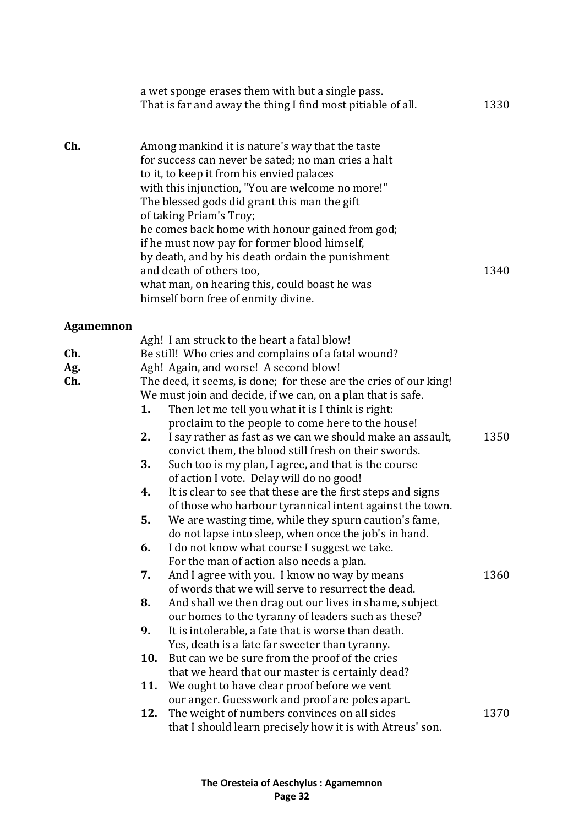|           |     | a wet sponge erases them with but a single pass.<br>That is far and away the thing I find most pitiable of all.                                                                                                                                                                                                                                                                                                                                                                                                                                               | 1330 |
|-----------|-----|---------------------------------------------------------------------------------------------------------------------------------------------------------------------------------------------------------------------------------------------------------------------------------------------------------------------------------------------------------------------------------------------------------------------------------------------------------------------------------------------------------------------------------------------------------------|------|
| Ch.       |     | Among mankind it is nature's way that the taste<br>for success can never be sated; no man cries a halt<br>to it, to keep it from his envied palaces<br>with this injunction, "You are welcome no more!"<br>The blessed gods did grant this man the gift<br>of taking Priam's Troy;<br>he comes back home with honour gained from god;<br>if he must now pay for former blood himself,<br>by death, and by his death ordain the punishment<br>and death of others too,<br>what man, on hearing this, could boast he was<br>himself born free of enmity divine. | 1340 |
| Agamemnon |     |                                                                                                                                                                                                                                                                                                                                                                                                                                                                                                                                                               |      |
| Ch.       |     | Agh! I am struck to the heart a fatal blow!<br>Be still! Who cries and complains of a fatal wound?                                                                                                                                                                                                                                                                                                                                                                                                                                                            |      |
| Ag.       |     | Agh! Again, and worse! A second blow!                                                                                                                                                                                                                                                                                                                                                                                                                                                                                                                         |      |
| Ch.       |     | The deed, it seems, is done; for these are the cries of our king!                                                                                                                                                                                                                                                                                                                                                                                                                                                                                             |      |
|           |     | We must join and decide, if we can, on a plan that is safe.                                                                                                                                                                                                                                                                                                                                                                                                                                                                                                   |      |
|           | 1.  | Then let me tell you what it is I think is right:<br>proclaim to the people to come here to the house!                                                                                                                                                                                                                                                                                                                                                                                                                                                        |      |
|           | 2.  | I say rather as fast as we can we should make an assault,                                                                                                                                                                                                                                                                                                                                                                                                                                                                                                     | 1350 |
|           |     | convict them, the blood still fresh on their swords.                                                                                                                                                                                                                                                                                                                                                                                                                                                                                                          |      |
|           | 3.  | Such too is my plan, I agree, and that is the course                                                                                                                                                                                                                                                                                                                                                                                                                                                                                                          |      |
|           |     | of action I vote. Delay will do no good!                                                                                                                                                                                                                                                                                                                                                                                                                                                                                                                      |      |
|           | 4.  | It is clear to see that these are the first steps and signs                                                                                                                                                                                                                                                                                                                                                                                                                                                                                                   |      |
|           | 5.  | of those who harbour tyrannical intent against the town.<br>We are wasting time, while they spurn caution's fame,                                                                                                                                                                                                                                                                                                                                                                                                                                             |      |
|           |     | do not lapse into sleep, when once the job's in hand.                                                                                                                                                                                                                                                                                                                                                                                                                                                                                                         |      |
|           | 6.  | I do not know what course I suggest we take.                                                                                                                                                                                                                                                                                                                                                                                                                                                                                                                  |      |
|           |     | For the man of action also needs a plan.                                                                                                                                                                                                                                                                                                                                                                                                                                                                                                                      |      |
|           | 7.  | And I agree with you. I know no way by means                                                                                                                                                                                                                                                                                                                                                                                                                                                                                                                  | 1360 |
|           | 8.  | of words that we will serve to resurrect the dead.                                                                                                                                                                                                                                                                                                                                                                                                                                                                                                            |      |
|           |     | And shall we then drag out our lives in shame, subject<br>our homes to the tyranny of leaders such as these?                                                                                                                                                                                                                                                                                                                                                                                                                                                  |      |
|           | 9.  | It is intolerable, a fate that is worse than death.                                                                                                                                                                                                                                                                                                                                                                                                                                                                                                           |      |
|           |     | Yes, death is a fate far sweeter than tyranny.                                                                                                                                                                                                                                                                                                                                                                                                                                                                                                                |      |
|           | 10. | But can we be sure from the proof of the cries                                                                                                                                                                                                                                                                                                                                                                                                                                                                                                                |      |
|           |     | that we heard that our master is certainly dead?                                                                                                                                                                                                                                                                                                                                                                                                                                                                                                              |      |
|           | 11. | We ought to have clear proof before we vent                                                                                                                                                                                                                                                                                                                                                                                                                                                                                                                   |      |
|           | 12. | our anger. Guesswork and proof are poles apart.<br>The weight of numbers convinces on all sides                                                                                                                                                                                                                                                                                                                                                                                                                                                               | 1370 |
|           |     | that I should learn precisely how it is with Atreus' son.                                                                                                                                                                                                                                                                                                                                                                                                                                                                                                     |      |
|           |     |                                                                                                                                                                                                                                                                                                                                                                                                                                                                                                                                                               |      |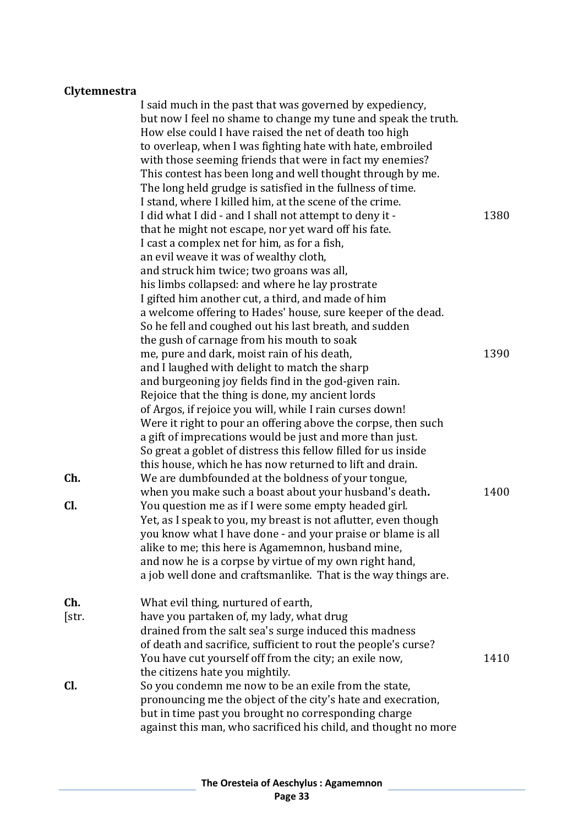### **Clytemnestra**

|              | I said much in the past that was governed by expediency,<br>but now I feel no shame to change my tune and speak the truth.<br>How else could I have raised the net of death too high<br>to overleap, when I was fighting hate with hate, embroiled<br>with those seeming friends that were in fact my enemies?<br>This contest has been long and well thought through by me.<br>The long held grudge is satisfied in the fullness of time.                                                                                                                                                                                                                                        |      |
|--------------|-----------------------------------------------------------------------------------------------------------------------------------------------------------------------------------------------------------------------------------------------------------------------------------------------------------------------------------------------------------------------------------------------------------------------------------------------------------------------------------------------------------------------------------------------------------------------------------------------------------------------------------------------------------------------------------|------|
|              | I stand, where I killed him, at the scene of the crime.<br>I did what I did - and I shall not attempt to deny it -<br>that he might not escape, nor yet ward off his fate.<br>I cast a complex net for him, as for a fish,<br>an evil weave it was of wealthy cloth,                                                                                                                                                                                                                                                                                                                                                                                                              | 1380 |
|              | and struck him twice; two groans was all,<br>his limbs collapsed: and where he lay prostrate<br>I gifted him another cut, a third, and made of him<br>a welcome offering to Hades' house, sure keeper of the dead.<br>So he fell and coughed out his last breath, and sudden                                                                                                                                                                                                                                                                                                                                                                                                      |      |
|              | the gush of carnage from his mouth to soak<br>me, pure and dark, moist rain of his death,<br>and I laughed with delight to match the sharp<br>and burgeoning joy fields find in the god-given rain.<br>Rejoice that the thing is done, my ancient lords<br>of Argos, if rejoice you will, while I rain curses down!<br>Were it right to pour an offering above the corpse, then such                                                                                                                                                                                                                                                                                              | 1390 |
| Ch.<br>CI.   | a gift of imprecations would be just and more than just.<br>So great a goblet of distress this fellow filled for us inside<br>this house, which he has now returned to lift and drain.<br>We are dumbfounded at the boldness of your tongue,<br>when you make such a boast about your husband's death.<br>You question me as if I were some empty headed girl.<br>Yet, as I speak to you, my breast is not aflutter, even though<br>you know what I have done - and your praise or blame is all<br>alike to me; this here is Agamemnon, husband mine,<br>and now he is a corpse by virtue of my own right hand,<br>a job well done and craftsmanlike. That is the way things are. | 1400 |
| Ch.<br>[str. | What evil thing, nurtured of earth,<br>have you partaken of, my lady, what drug<br>drained from the salt sea's surge induced this madness<br>of death and sacrifice, sufficient to rout the people's curse?<br>You have cut yourself off from the city; an exile now,<br>the citizens hate you mightily.                                                                                                                                                                                                                                                                                                                                                                          | 1410 |
| Cl.          | So you condemn me now to be an exile from the state,<br>pronouncing me the object of the city's hate and execration,<br>but in time past you brought no corresponding charge<br>against this man, who sacrificed his child, and thought no more                                                                                                                                                                                                                                                                                                                                                                                                                                   |      |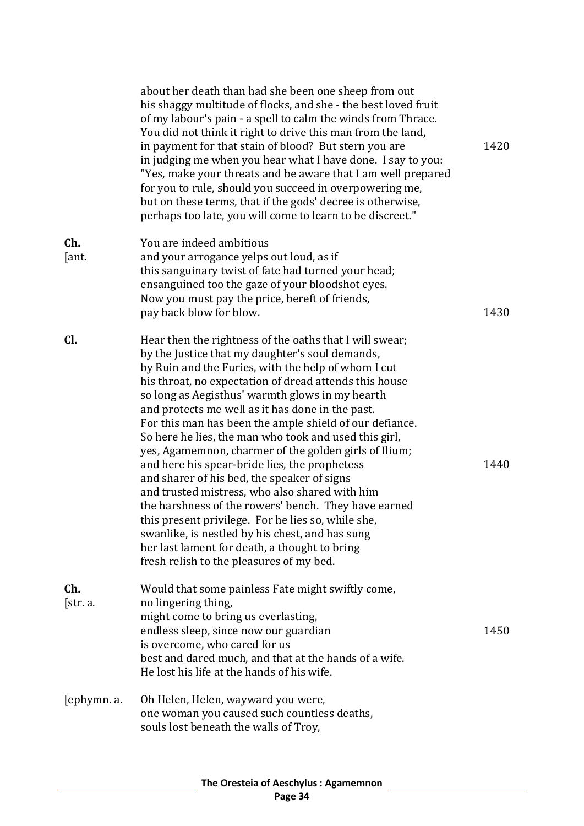|                 | about her death than had she been one sheep from out<br>his shaggy multitude of flocks, and she - the best loved fruit<br>of my labour's pain - a spell to calm the winds from Thrace.<br>You did not think it right to drive this man from the land,<br>in payment for that stain of blood? But stern you are<br>in judging me when you hear what I have done. I say to you:<br>"Yes, make your threats and be aware that I am well prepared<br>for you to rule, should you succeed in overpowering me,<br>but on these terms, that if the gods' decree is otherwise,<br>perhaps too late, you will come to learn to be discreet."                                                                                                                                                                                                                                                                                             | 1420 |
|-----------------|---------------------------------------------------------------------------------------------------------------------------------------------------------------------------------------------------------------------------------------------------------------------------------------------------------------------------------------------------------------------------------------------------------------------------------------------------------------------------------------------------------------------------------------------------------------------------------------------------------------------------------------------------------------------------------------------------------------------------------------------------------------------------------------------------------------------------------------------------------------------------------------------------------------------------------|------|
| Ch.<br>[ant.    | You are indeed ambitious<br>and your arrogance yelps out loud, as if<br>this sanguinary twist of fate had turned your head;<br>ensanguined too the gaze of your bloodshot eyes.<br>Now you must pay the price, bereft of friends,<br>pay back blow for blow.                                                                                                                                                                                                                                                                                                                                                                                                                                                                                                                                                                                                                                                                    | 1430 |
| Cl.             | Hear then the rightness of the oaths that I will swear;<br>by the Justice that my daughter's soul demands,<br>by Ruin and the Furies, with the help of whom I cut<br>his throat, no expectation of dread attends this house<br>so long as Aegisthus' warmth glows in my hearth<br>and protects me well as it has done in the past.<br>For this man has been the ample shield of our defiance.<br>So here he lies, the man who took and used this girl,<br>yes, Agamemnon, charmer of the golden girls of Ilium;<br>and here his spear-bride lies, the prophetess<br>and sharer of his bed, the speaker of signs<br>and trusted mistress, who also shared with him<br>the harshness of the rowers' bench. They have earned<br>this present privilege. For he lies so, while she,<br>swanlike, is nestled by his chest, and has sung<br>her last lament for death, a thought to bring<br>fresh relish to the pleasures of my bed. | 1440 |
| Ch.<br>[str. a. | Would that some painless Fate might swiftly come,<br>no lingering thing,<br>might come to bring us everlasting,<br>endless sleep, since now our guardian<br>is overcome, who cared for us<br>best and dared much, and that at the hands of a wife.<br>He lost his life at the hands of his wife.                                                                                                                                                                                                                                                                                                                                                                                                                                                                                                                                                                                                                                | 1450 |
| [ephymn. a.     | Oh Helen, Helen, wayward you were,<br>one woman you caused such countless deaths,<br>souls lost beneath the walls of Troy,                                                                                                                                                                                                                                                                                                                                                                                                                                                                                                                                                                                                                                                                                                                                                                                                      |      |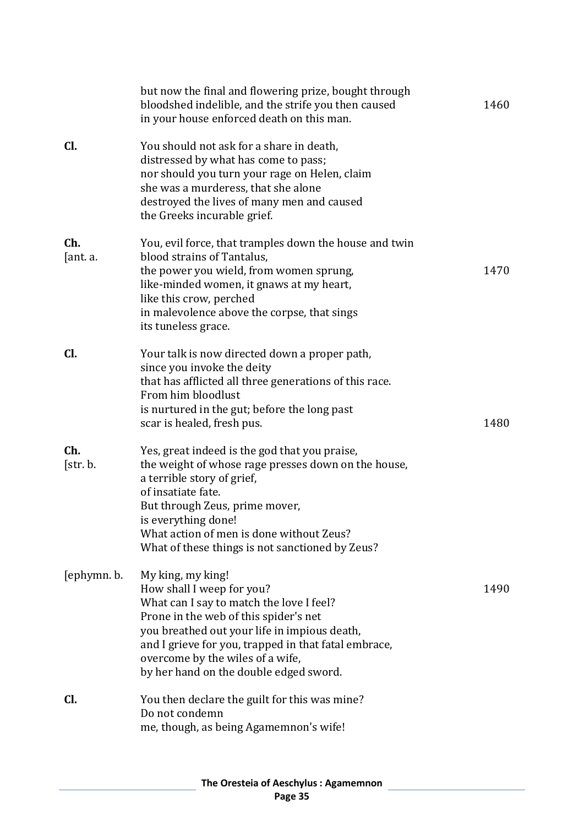|                 | but now the final and flowering prize, bought through<br>bloodshed indelible, and the strife you then caused<br>in your house enforced death on this man.                                                                                                                                                                 | 1460 |
|-----------------|---------------------------------------------------------------------------------------------------------------------------------------------------------------------------------------------------------------------------------------------------------------------------------------------------------------------------|------|
| Cl.             | You should not ask for a share in death,<br>distressed by what has come to pass;<br>nor should you turn your rage on Helen, claim<br>she was a murderess, that she alone<br>destroyed the lives of many men and caused<br>the Greeks incurable grief.                                                                     |      |
| Ch.<br>[ant. a. | You, evil force, that tramples down the house and twin<br>blood strains of Tantalus,<br>the power you wield, from women sprung,<br>like-minded women, it gnaws at my heart,<br>like this crow, perched<br>in malevolence above the corpse, that sings<br>its tuneless grace.                                              | 1470 |
| Cl.             | Your talk is now directed down a proper path,<br>since you invoke the deity<br>that has afflicted all three generations of this race.<br>From him bloodlust<br>is nurtured in the gut; before the long past<br>scar is healed, fresh pus.                                                                                 | 1480 |
| Ch.<br>[str. b. | Yes, great indeed is the god that you praise,<br>the weight of whose rage presses down on the house,<br>a terrible story of grief,<br>of insatiate fate.<br>But through Zeus, prime mover,<br>is everything done!<br>What action of men is done without Zeus?<br>What of these things is not sanctioned by Zeus?          |      |
| [ephymn. b.     | My king, my king!<br>How shall I weep for you?<br>What can I say to match the love I feel?<br>Prone in the web of this spider's net<br>you breathed out your life in impious death,<br>and I grieve for you, trapped in that fatal embrace,<br>overcome by the wiles of a wife,<br>by her hand on the double edged sword. | 1490 |
| CI.             | You then declare the guilt for this was mine?<br>Do not condemn<br>me, though, as being Agamemnon's wife!                                                                                                                                                                                                                 |      |
|                 |                                                                                                                                                                                                                                                                                                                           |      |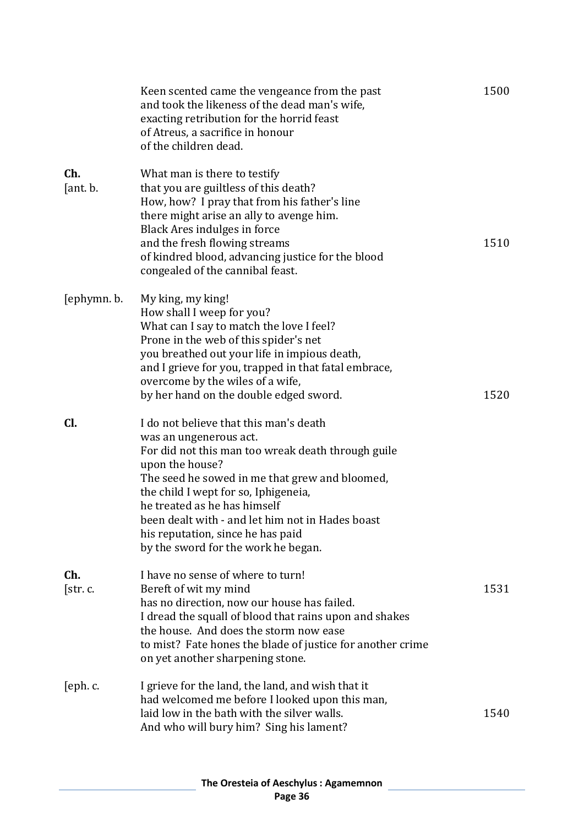|                 | Keen scented came the vengeance from the past<br>and took the likeness of the dead man's wife,<br>exacting retribution for the horrid feast<br>of Atreus, a sacrifice in honour<br>of the children dead.                                                                                                                                                                                            | 1500 |
|-----------------|-----------------------------------------------------------------------------------------------------------------------------------------------------------------------------------------------------------------------------------------------------------------------------------------------------------------------------------------------------------------------------------------------------|------|
| Ch.<br>[ant. b. | What man is there to testify<br>that you are guiltless of this death?<br>How, how? I pray that from his father's line<br>there might arise an ally to avenge him.<br>Black Ares indulges in force<br>and the fresh flowing streams<br>of kindred blood, advancing justice for the blood<br>congealed of the cannibal feast.                                                                         | 1510 |
| [ephymn. b.     | My king, my king!<br>How shall I weep for you?<br>What can I say to match the love I feel?<br>Prone in the web of this spider's net<br>you breathed out your life in impious death,<br>and I grieve for you, trapped in that fatal embrace,<br>overcome by the wiles of a wife,<br>by her hand on the double edged sword.                                                                           | 1520 |
| Cl.             | I do not believe that this man's death<br>was an ungenerous act.<br>For did not this man too wreak death through guile<br>upon the house?<br>The seed he sowed in me that grew and bloomed,<br>the child I wept for so, Iphigeneia,<br>he treated as he has himself<br>been dealt with - and let him not in Hades boast<br>his reputation, since he has paid<br>by the sword for the work he began. |      |
| Ch.<br>[str. c. | I have no sense of where to turn!<br>Bereft of wit my mind<br>has no direction, now our house has failed.<br>I dread the squall of blood that rains upon and shakes<br>the house. And does the storm now ease<br>to mist? Fate hones the blade of justice for another crime<br>on yet another sharpening stone.                                                                                     | 1531 |
| [eph.c.         | I grieve for the land, the land, and wish that it<br>had welcomed me before I looked upon this man,<br>laid low in the bath with the silver walls.<br>And who will bury him? Sing his lament?                                                                                                                                                                                                       | 1540 |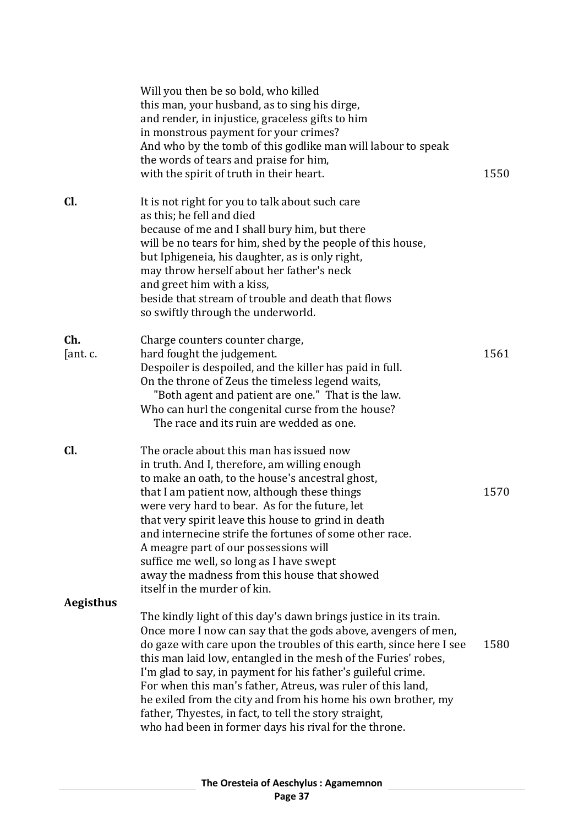|                  | Will you then be so bold, who killed<br>this man, your husband, as to sing his dirge,<br>and render, in injustice, graceless gifts to him<br>in monstrous payment for your crimes?<br>And who by the tomb of this godlike man will labour to speak<br>the words of tears and praise for him,<br>with the spirit of truth in their heart.                                                                                                                                                                                                                                                      | 1550 |
|------------------|-----------------------------------------------------------------------------------------------------------------------------------------------------------------------------------------------------------------------------------------------------------------------------------------------------------------------------------------------------------------------------------------------------------------------------------------------------------------------------------------------------------------------------------------------------------------------------------------------|------|
| Cl.              | It is not right for you to talk about such care<br>as this; he fell and died<br>because of me and I shall bury him, but there<br>will be no tears for him, shed by the people of this house,<br>but Iphigeneia, his daughter, as is only right,<br>may throw herself about her father's neck<br>and greet him with a kiss,<br>beside that stream of trouble and death that flows<br>so swiftly through the underworld.                                                                                                                                                                        |      |
| Ch.<br>[ant. c.  | Charge counters counter charge,<br>hard fought the judgement.<br>Despoiler is despoiled, and the killer has paid in full.<br>On the throne of Zeus the timeless legend waits,<br>"Both agent and patient are one." That is the law.<br>Who can hurl the congenital curse from the house?<br>The race and its ruin are wedded as one.                                                                                                                                                                                                                                                          | 1561 |
| Cl.              | The oracle about this man has issued now<br>in truth. And I, therefore, am willing enough<br>to make an oath, to the house's ancestral ghost,<br>that I am patient now, although these things<br>were very hard to bear. As for the future, let<br>that very spirit leave this house to grind in death<br>and internecine strife the fortunes of some other race.<br>A meagre part of our possessions will<br>suffice me well, so long as I have swept<br>away the madness from this house that showed<br>itself in the murder of kin.                                                        | 1570 |
| <b>Aegisthus</b> | The kindly light of this day's dawn brings justice in its train.<br>Once more I now can say that the gods above, avengers of men,<br>do gaze with care upon the troubles of this earth, since here I see<br>this man laid low, entangled in the mesh of the Furies' robes,<br>I'm glad to say, in payment for his father's guileful crime.<br>For when this man's father, Atreus, was ruler of this land,<br>he exiled from the city and from his home his own brother, my<br>father, Thyestes, in fact, to tell the story straight,<br>who had been in former days his rival for the throne. | 1580 |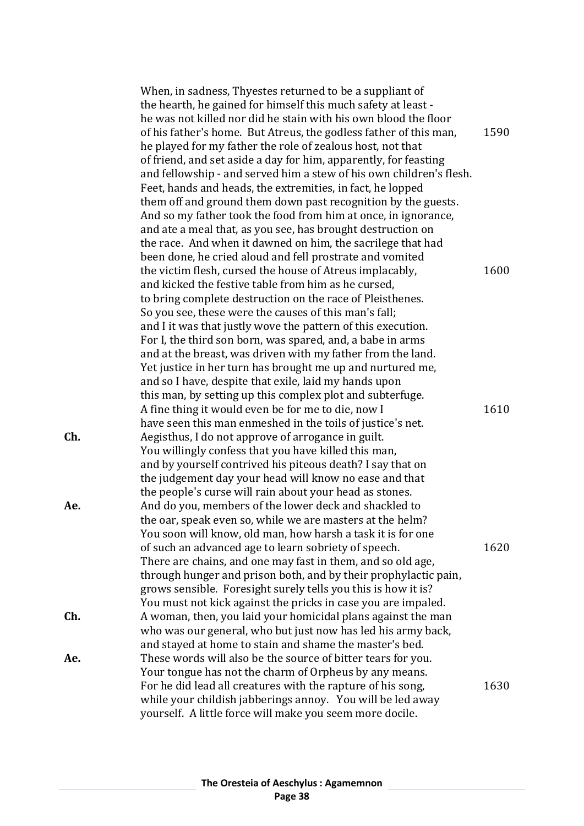|     | When, in sadness, Thyestes returned to be a suppliant of<br>the hearth, he gained for himself this much safety at least -<br>he was not killed nor did he stain with his own blood the floor<br>of his father's home. But Atreus, the godless father of this man,<br>he played for my father the role of zealous host, not that<br>of friend, and set aside a day for him, apparently, for feasting<br>and fellowship - and served him a stew of his own children's flesh.<br>Feet, hands and heads, the extremities, in fact, he lopped                                                                                                                                                         | 1590 |
|-----|--------------------------------------------------------------------------------------------------------------------------------------------------------------------------------------------------------------------------------------------------------------------------------------------------------------------------------------------------------------------------------------------------------------------------------------------------------------------------------------------------------------------------------------------------------------------------------------------------------------------------------------------------------------------------------------------------|------|
|     | them off and ground them down past recognition by the guests.<br>And so my father took the food from him at once, in ignorance,<br>and ate a meal that, as you see, has brought destruction on<br>the race. And when it dawned on him, the sacrilege that had<br>been done, he cried aloud and fell prostrate and vomited<br>the victim flesh, cursed the house of Atreus implacably,<br>and kicked the festive table from him as he cursed,<br>to bring complete destruction on the race of Pleisthenes.<br>So you see, these were the causes of this man's fall;<br>and I it was that justly wove the pattern of this execution.<br>For I, the third son born, was spared, and, a babe in arms | 1600 |
| Ch. | and at the breast, was driven with my father from the land.<br>Yet justice in her turn has brought me up and nurtured me,<br>and so I have, despite that exile, laid my hands upon<br>this man, by setting up this complex plot and subterfuge.<br>A fine thing it would even be for me to die, now I<br>have seen this man enmeshed in the toils of justice's net.<br>Aegisthus, I do not approve of arrogance in guilt.                                                                                                                                                                                                                                                                        | 1610 |
|     | You willingly confess that you have killed this man,<br>and by yourself contrived his piteous death? I say that on<br>the judgement day your head will know no ease and that<br>the people's curse will rain about your head as stones.                                                                                                                                                                                                                                                                                                                                                                                                                                                          |      |
| Ae. | And do you, members of the lower deck and shackled to<br>the oar, speak even so, while we are masters at the helm?<br>You soon will know, old man, how harsh a task it is for one<br>of such an advanced age to learn sobriety of speech.<br>There are chains, and one may fast in them, and so old age,<br>through hunger and prison both, and by their prophylactic pain,<br>grows sensible. Foresight surely tells you this is how it is?<br>You must not kick against the pricks in case you are impaled.                                                                                                                                                                                    | 1620 |
| Ch. | A woman, then, you laid your homicidal plans against the man<br>who was our general, who but just now has led his army back,<br>and stayed at home to stain and shame the master's bed.                                                                                                                                                                                                                                                                                                                                                                                                                                                                                                          |      |
| Ae. | These words will also be the source of bitter tears for you.<br>Your tongue has not the charm of Orpheus by any means.<br>For he did lead all creatures with the rapture of his song,<br>while your childish jabberings annoy. You will be led away<br>yourself. A little force will make you seem more docile.                                                                                                                                                                                                                                                                                                                                                                                  | 1630 |